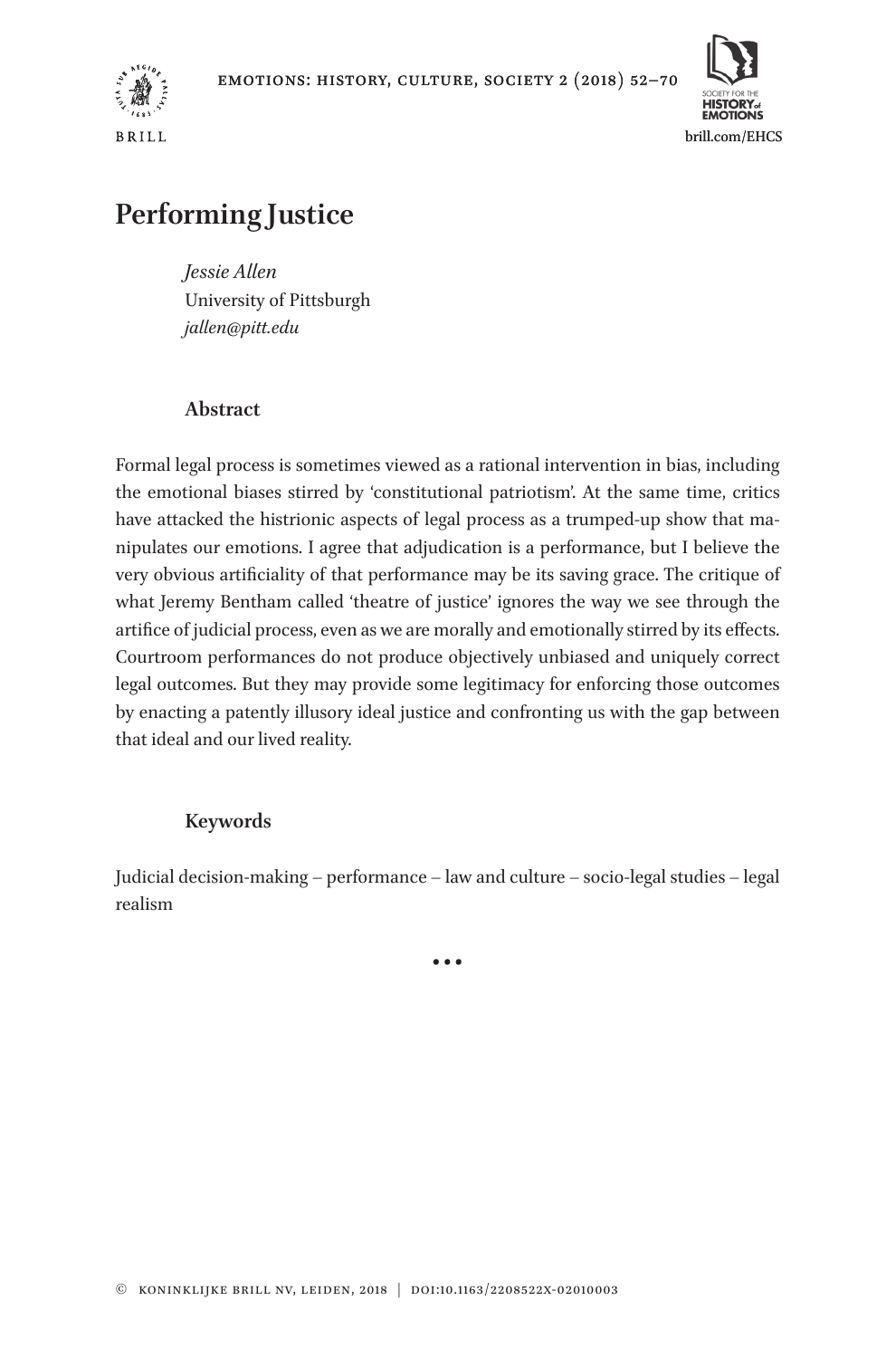



# **Performing Justice**

*Jessie Allen* University of Pittsburgh *jallen@pitt.edu*

# **Abstract**

Formal legal process is sometimes viewed as a rational intervention in bias, including the emotional biases stirred by 'constitutional patriotism'. At the same time, critics have attacked the histrionic aspects of legal process as a trumped-up show that manipulates our emotions. I agree that adjudication is a performance, but I believe the very obvious artificiality of that performance may be its saving grace. The critique of what Jeremy Bentham called 'theatre of justice' ignores the way we see through the artifice of judicial process, even as we are morally and emotionally stirred by its effects. Courtroom performances do not produce objectively unbiased and uniquely correct legal outcomes. But they may provide some legitimacy for enforcing those outcomes by enacting a patently illusory ideal justice and confronting us with the gap between that ideal and our lived reality.

## **Keywords**

Judicial decision-making – performance – law and culture – socio-legal studies – legal realism

…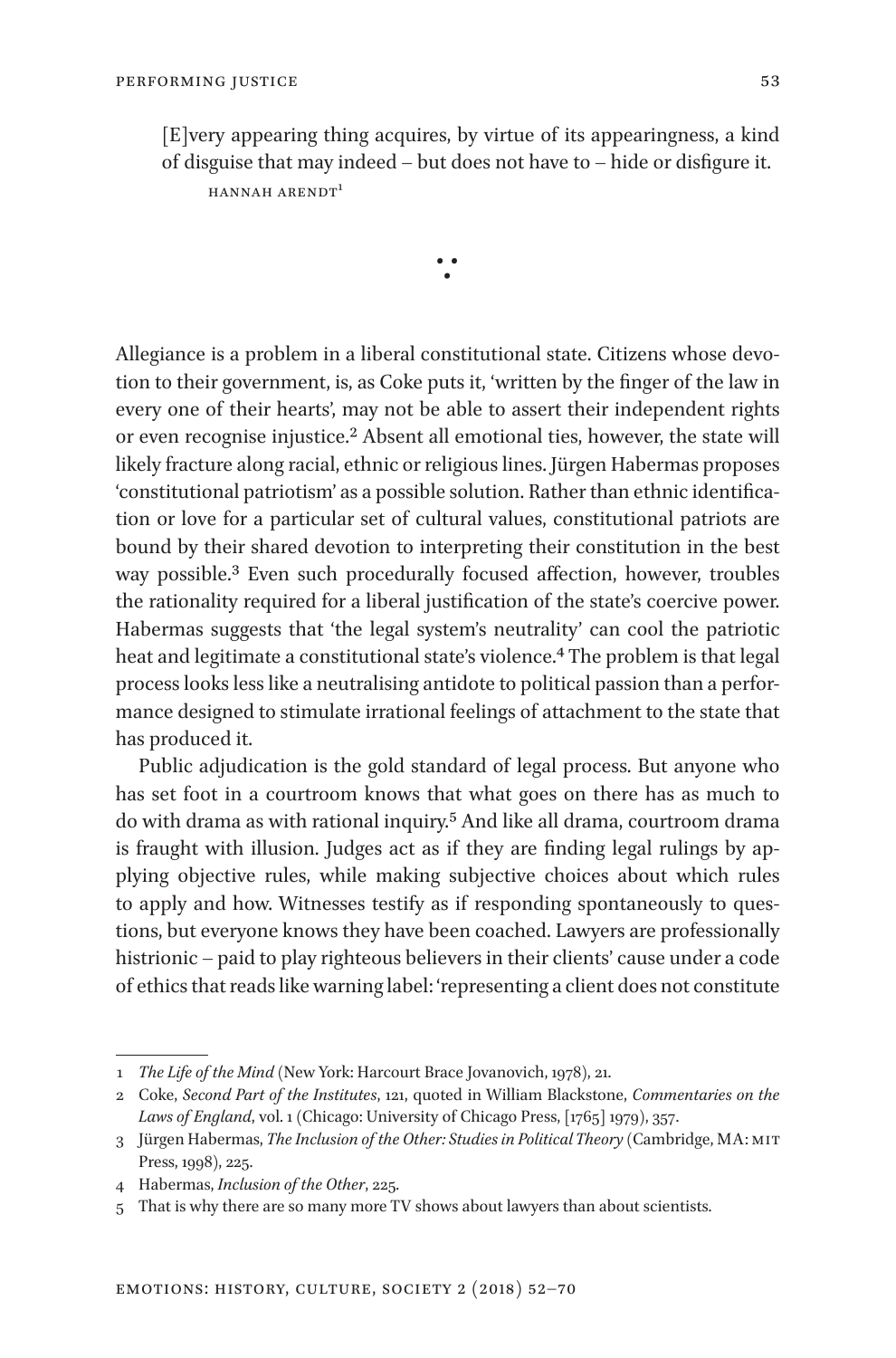[E]very appearing thing acquires, by virtue of its appearingness, a kind of disguise that may indeed – but does not have to – hide or disfigure it.  $HANNAH ARENDT<sup>1</sup>$ 

 $^{\bullet}$ .

Allegiance is a problem in a liberal constitutional state. Citizens whose devotion to their government, is, as Coke puts it, 'written by the finger of the law in every one of their hearts', may not be able to assert their independent rights or even recognise injustice.2 Absent all emotional ties, however, the state will likely fracture along racial, ethnic or religious lines. Jürgen Habermas proposes 'constitutional patriotism' as a possible solution. Rather than ethnic identification or love for a particular set of cultural values, constitutional patriots are bound by their shared devotion to interpreting their constitution in the best way possible.3 Even such procedurally focused affection, however, troubles the rationality required for a liberal justification of the state's coercive power. Habermas suggests that 'the legal system's neutrality' can cool the patriotic heat and legitimate a constitutional state's violence.4 The problem is that legal process looks less like a neutralising antidote to political passion than a performance designed to stimulate irrational feelings of attachment to the state that has produced it.

Public adjudication is the gold standard of legal process. But anyone who has set foot in a courtroom knows that what goes on there has as much to do with drama as with rational inquiry.5 And like all drama, courtroom drama is fraught with illusion. Judges act as if they are finding legal rulings by applying objective rules, while making subjective choices about which rules to apply and how. Witnesses testify as if responding spontaneously to questions, but everyone knows they have been coached. Lawyers are professionally histrionic – paid to play righteous believers in their clients' cause under a code of ethics that reads like warning label: 'representing a client does not constitute

<sup>1</sup> *The Life of the Mind* (New York: Harcourt Brace Jovanovich, 1978), 21.

<sup>2</sup> Coke, *Second Part of the Institutes*, 121, quoted in William Blackstone, *Commentaries on the Laws of England*, vol. 1 (Chicago: University of Chicago Press, [1765] 1979), 357.

<sup>3</sup> Jürgen Habermas, *The Inclusion of the Other: Studies in Political Theory* (Cambridge, MA: MIT Press, 1998), 225.

<sup>4</sup> Habermas, *Inclusion of the Other*, 225.

<sup>5</sup> That is why there are so many more TV shows about lawyers than about scientists.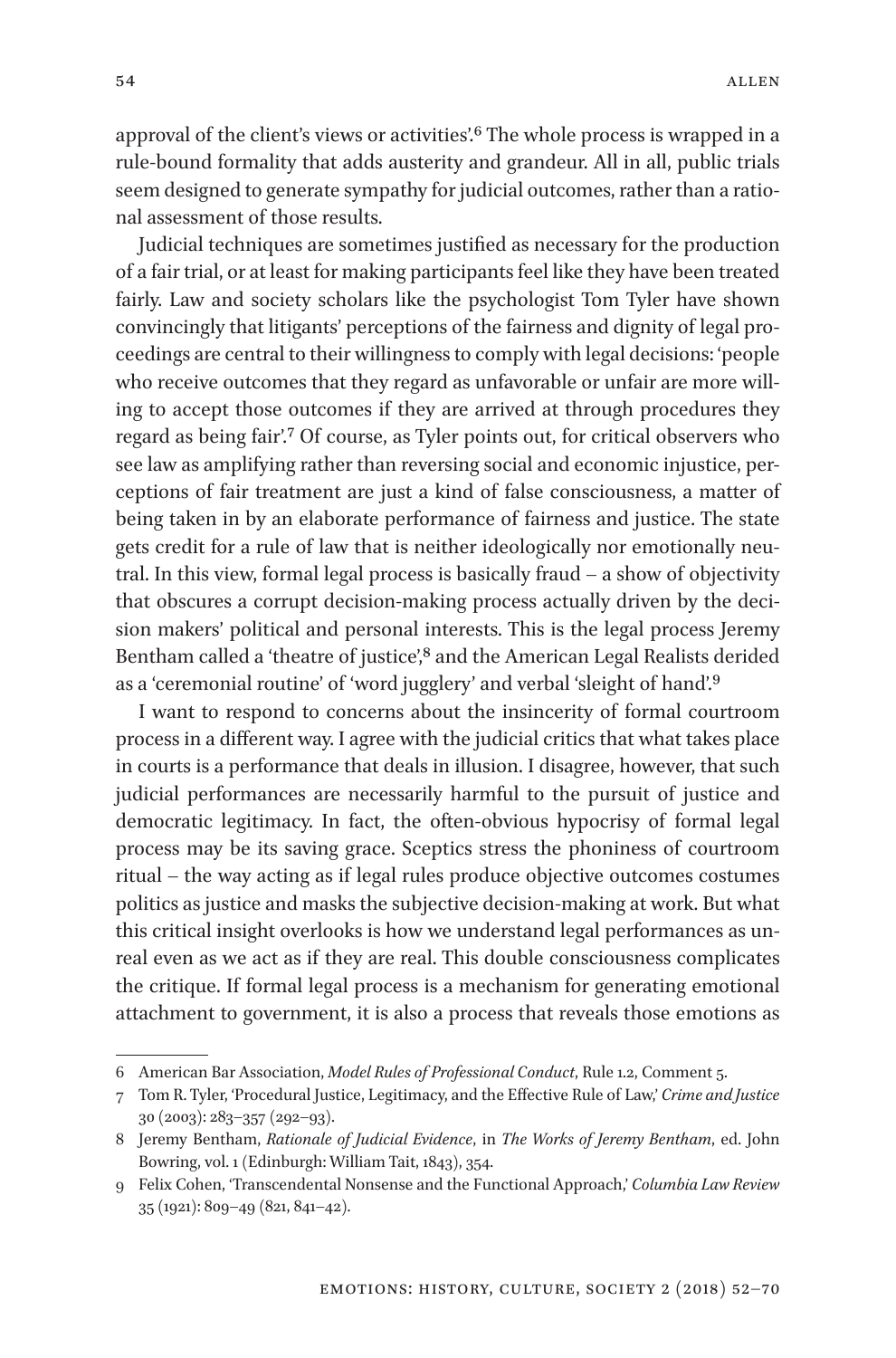approval of the client's views or activities'.6 The whole process is wrapped in a rule-bound formality that adds austerity and grandeur. All in all, public trials seem designed to generate sympathy for judicial outcomes, rather than a rational assessment of those results.

Judicial techniques are sometimes justified as necessary for the production of a fair trial, or at least for making participants feel like they have been treated fairly. Law and society scholars like the psychologist Tom Tyler have shown convincingly that litigants' perceptions of the fairness and dignity of legal proceedings are central to their willingness to comply with legal decisions: 'people who receive outcomes that they regard as unfavorable or unfair are more willing to accept those outcomes if they are arrived at through procedures they regard as being fair'.7 Of course, as Tyler points out, for critical observers who see law as amplifying rather than reversing social and economic injustice, perceptions of fair treatment are just a kind of false consciousness, a matter of being taken in by an elaborate performance of fairness and justice. The state gets credit for a rule of law that is neither ideologically nor emotionally neutral. In this view, formal legal process is basically fraud – a show of objectivity that obscures a corrupt decision-making process actually driven by the decision makers' political and personal interests. This is the legal process Jeremy Bentham called a 'theatre of justice',<sup>8</sup> and the American Legal Realists derided as a 'ceremonial routine' of 'word jugglery' and verbal 'sleight of hand'.9

I want to respond to concerns about the insincerity of formal courtroom process in a different way. I agree with the judicial critics that what takes place in courts is a performance that deals in illusion. I disagree, however, that such judicial performances are necessarily harmful to the pursuit of justice and democratic legitimacy. In fact, the often-obvious hypocrisy of formal legal process may be its saving grace. Sceptics stress the phoniness of courtroom ritual – the way acting as if legal rules produce objective outcomes costumes politics as justice and masks the subjective decision-making at work. But what this critical insight overlooks is how we understand legal performances as unreal even as we act as if they are real. This double consciousness complicates the critique. If formal legal process is a mechanism for generating emotional attachment to government, it is also a process that reveals those emotions as

<sup>6</sup> American Bar Association, *Model Rules of Professional Conduct*, Rule 1.2, Comment 5.

<sup>7</sup> Tom R. Tyler, 'Procedural Justice, Legitimacy, and the Effective Rule of Law,' *Crime and Justice* 30 (2003): 283–357 (292–93).

<sup>8</sup> Jeremy Bentham, *Rationale of Judicial Evidence*, in *The Works of Jeremy Bentham*, ed. John Bowring, vol. 1 (Edinburgh: William Tait, 1843), 354.

<sup>9</sup> Felix Cohen, 'Transcendental Nonsense and the Functional Approach,' *Columbia Law Review* 35 (1921): 809–49 (821, 841–42).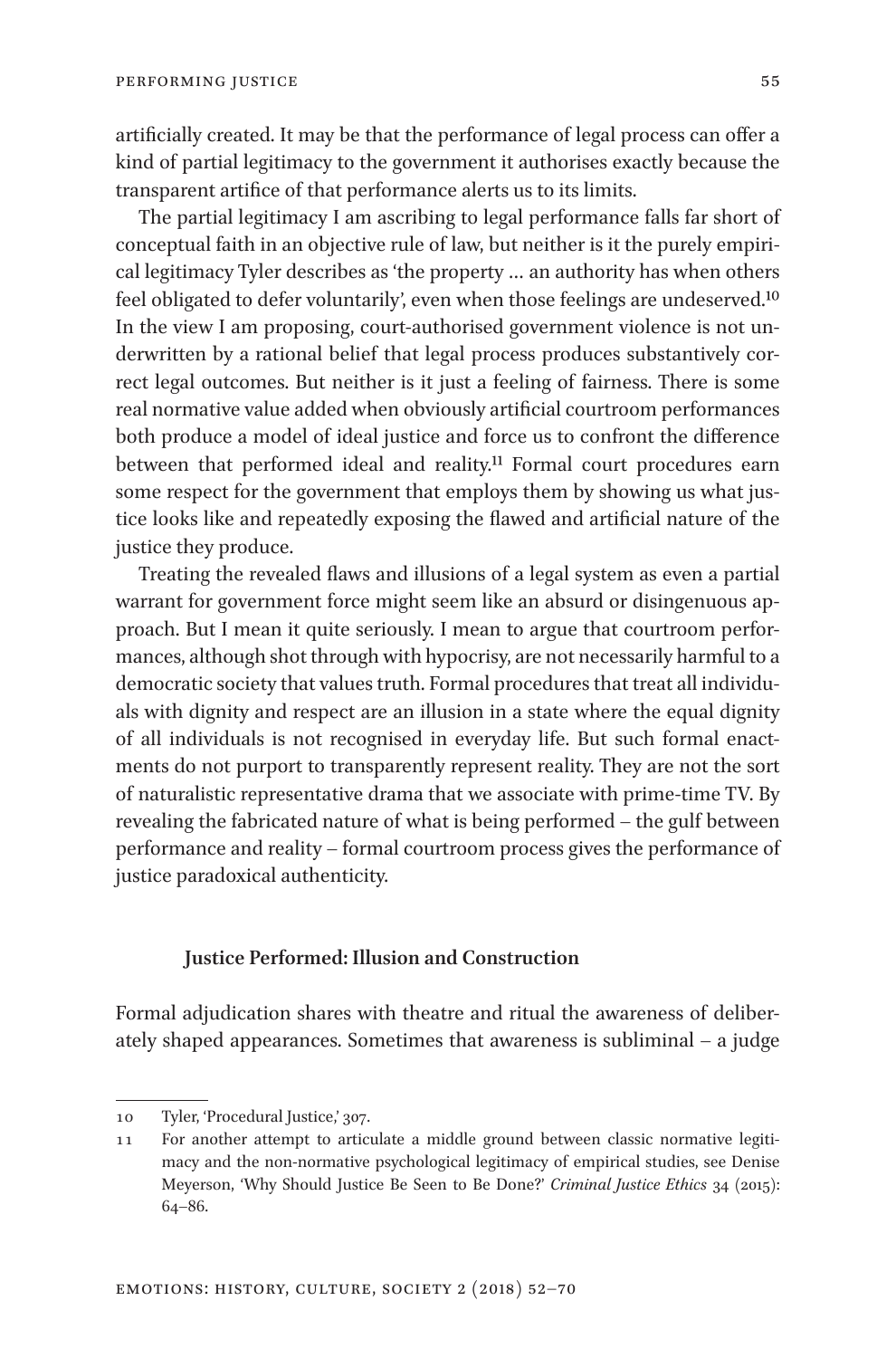artificially created. It may be that the performance of legal process can offer a kind of partial legitimacy to the government it authorises exactly because the transparent artifice of that performance alerts us to its limits.

The partial legitimacy I am ascribing to legal performance falls far short of conceptual faith in an objective rule of law, but neither is it the purely empirical legitimacy Tyler describes as 'the property … an authority has when others feel obligated to defer voluntarily', even when those feelings are undeserved.10 In the view I am proposing, court-authorised government violence is not underwritten by a rational belief that legal process produces substantively correct legal outcomes. But neither is it just a feeling of fairness. There is some real normative value added when obviously artificial courtroom performances both produce a model of ideal justice and force us to confront the difference between that performed ideal and reality.<sup>11</sup> Formal court procedures earn some respect for the government that employs them by showing us what justice looks like and repeatedly exposing the flawed and artificial nature of the justice they produce.

Treating the revealed flaws and illusions of a legal system as even a partial warrant for government force might seem like an absurd or disingenuous approach. But I mean it quite seriously. I mean to argue that courtroom performances, although shot through with hypocrisy, are not necessarily harmful to a democratic society that values truth. Formal procedures that treat all individuals with dignity and respect are an illusion in a state where the equal dignity of all individuals is not recognised in everyday life. But such formal enactments do not purport to transparently represent reality. They are not the sort of naturalistic representative drama that we associate with prime-time TV. By revealing the fabricated nature of what is being performed – the gulf between performance and reality – formal courtroom process gives the performance of justice paradoxical authenticity.

#### **Justice Performed: Illusion and Construction**

Formal adjudication shares with theatre and ritual the awareness of deliberately shaped appearances. Sometimes that awareness is subliminal – a judge

<sup>10</sup> Tyler, 'Procedural Justice,' 307.

<sup>11</sup> For another attempt to articulate a middle ground between classic normative legitimacy and the non-normative psychological legitimacy of empirical studies, see Denise Meyerson, 'Why Should Justice Be Seen to Be Done?' *Criminal Justice Ethics* 34 (2015): 64–86.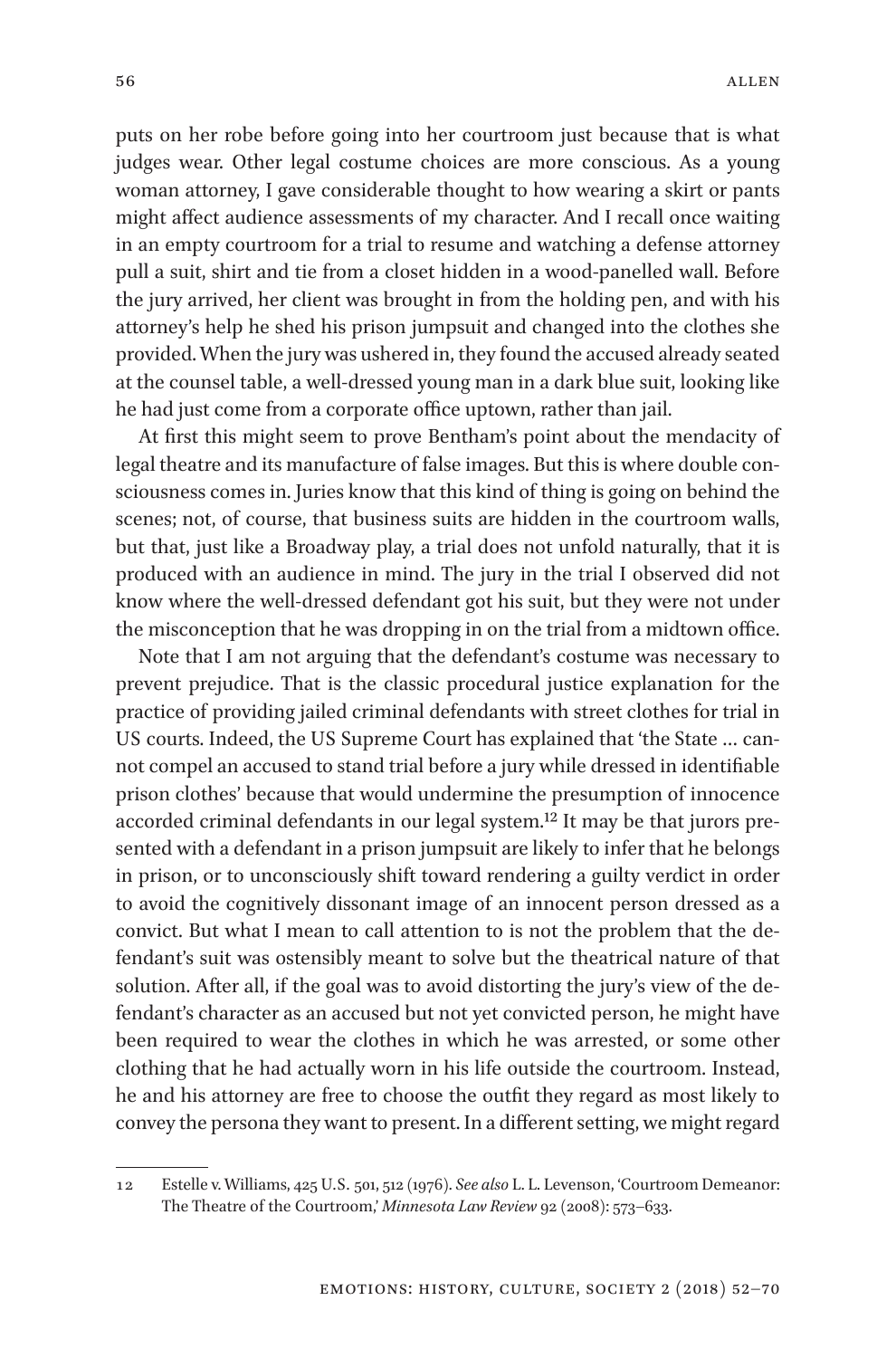puts on her robe before going into her courtroom just because that is what judges wear. Other legal costume choices are more conscious. As a young woman attorney, I gave considerable thought to how wearing a skirt or pants might affect audience assessments of my character. And I recall once waiting in an empty courtroom for a trial to resume and watching a defense attorney pull a suit, shirt and tie from a closet hidden in a wood-panelled wall. Before the jury arrived, her client was brought in from the holding pen, and with his attorney's help he shed his prison jumpsuit and changed into the clothes she provided. When the jury was ushered in, they found the accused already seated at the counsel table, a well-dressed young man in a dark blue suit, looking like he had just come from a corporate office uptown, rather than jail.

At first this might seem to prove Bentham's point about the mendacity of legal theatre and its manufacture of false images. But this is where double consciousness comes in. Juries know that this kind of thing is going on behind the scenes; not, of course, that business suits are hidden in the courtroom walls, but that, just like a Broadway play, a trial does not unfold naturally, that it is produced with an audience in mind. The jury in the trial I observed did not know where the well-dressed defendant got his suit, but they were not under the misconception that he was dropping in on the trial from a midtown office.

Note that I am not arguing that the defendant's costume was necessary to prevent prejudice. That is the classic procedural justice explanation for the practice of providing jailed criminal defendants with street clothes for trial in US courts. Indeed, the US Supreme Court has explained that 'the State … cannot compel an accused to stand trial before a jury while dressed in identifiable prison clothes' because that would undermine the presumption of innocence accorded criminal defendants in our legal system.12 It may be that jurors presented with a defendant in a prison jumpsuit are likely to infer that he belongs in prison, or to unconsciously shift toward rendering a guilty verdict in order to avoid the cognitively dissonant image of an innocent person dressed as a convict. But what I mean to call attention to is not the problem that the defendant's suit was ostensibly meant to solve but the theatrical nature of that solution. After all, if the goal was to avoid distorting the jury's view of the defendant's character as an accused but not yet convicted person, he might have been required to wear the clothes in which he was arrested, or some other clothing that he had actually worn in his life outside the courtroom. Instead, he and his attorney are free to choose the outfit they regard as most likely to convey the persona they want to present. In a different setting, we might regard

<sup>12</sup> Estelle v. Williams, 425 U.S. 501, 512 (1976). *See also* L. L. Levenson, 'Courtroom Demeanor: The Theatre of the Courtroom,' *Minnesota Law Review* 92 (2008): 573–633.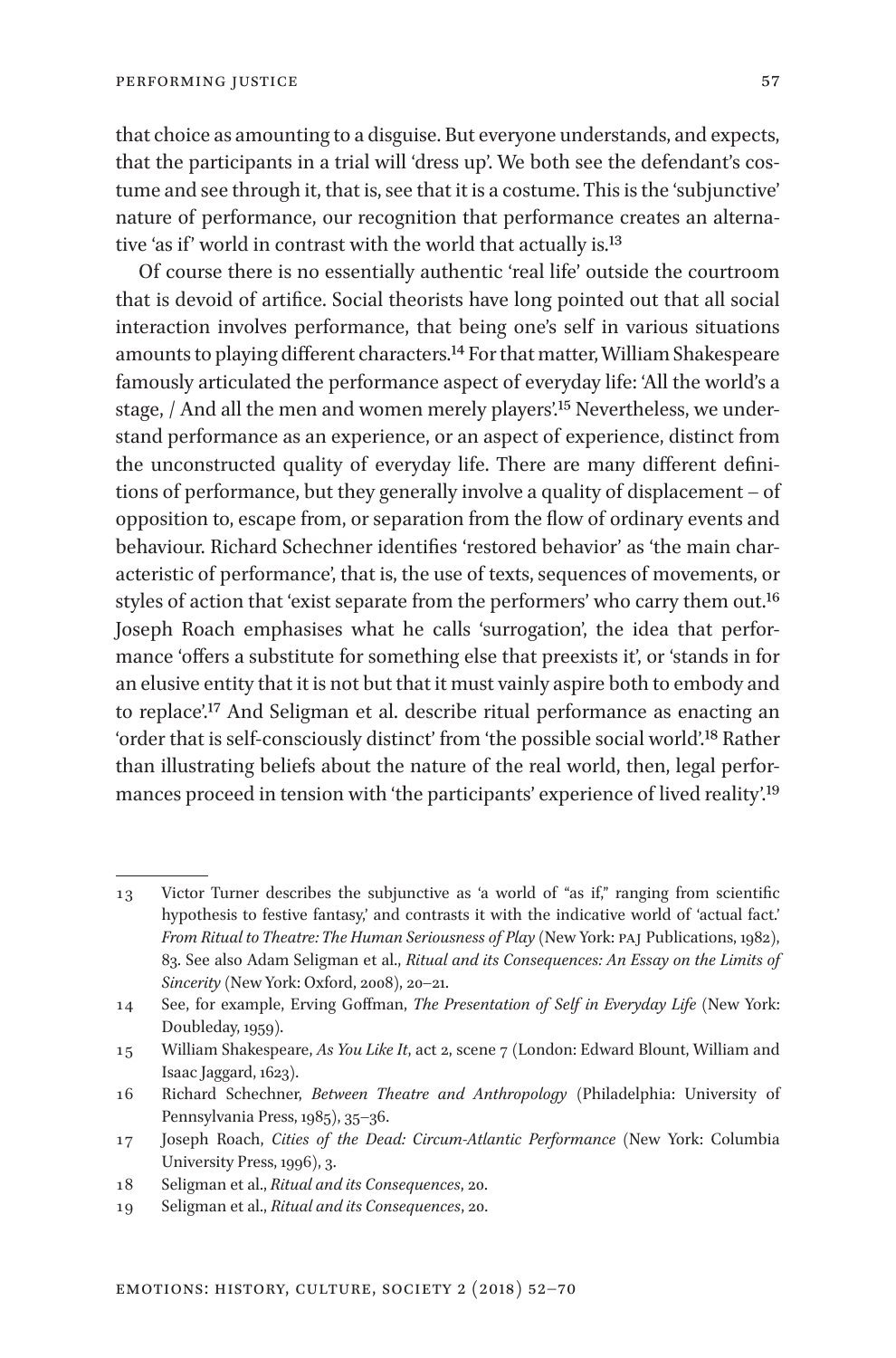that choice as amounting to a disguise. But everyone understands, and expects, that the participants in a trial will 'dress up'. We both see the defendant's costume and see through it, that is, see that it is a costume. This is the 'subjunctive' nature of performance, our recognition that performance creates an alternative 'as if' world in contrast with the world that actually is.13

Of course there is no essentially authentic 'real life' outside the courtroom that is devoid of artifice. Social theorists have long pointed out that all social interaction involves performance, that being one's self in various situations amounts to playing different characters.14 For that matter, William Shakespeare famously articulated the performance aspect of everyday life: 'All the world's a stage, / And all the men and women merely players'.15 Nevertheless, we understand performance as an experience, or an aspect of experience, distinct from the unconstructed quality of everyday life. There are many different definitions of performance, but they generally involve a quality of displacement – of opposition to, escape from, or separation from the flow of ordinary events and behaviour. Richard Schechner identifies 'restored behavior' as 'the main characteristic of performance', that is, the use of texts, sequences of movements, or styles of action that 'exist separate from the performers' who carry them out.16 Joseph Roach emphasises what he calls 'surrogation', the idea that performance 'offers a substitute for something else that preexists it', or 'stands in for an elusive entity that it is not but that it must vainly aspire both to embody and to replace'.17 And Seligman et al. describe ritual performance as enacting an 'order that is self-consciously distinct' from 'the possible social world'.18 Rather than illustrating beliefs about the nature of the real world, then, legal performances proceed in tension with 'the participants' experience of lived reality'.19

<sup>13</sup> Victor Turner describes the subjunctive as 'a world of "as if," ranging from scientific hypothesis to festive fantasy,' and contrasts it with the indicative world of 'actual fact.' *From Ritual to Theatre: The Human Seriousness of Play* (New York: PAJ Publications, 1982), 83. See also Adam Seligman et al., *Ritual and its Consequences: An Essay on the Limits of Sincerity* (New York: Oxford, 2008), 20–21.

<sup>14</sup> See, for example, Erving Goffman, *The Presentation of Self in Everyday Life* (New York: Doubleday, 1959).

<sup>15</sup> William Shakespeare, *As You Like It*, act 2, scene 7 (London: Edward Blount, William and Isaac Jaggard, 1623).

<sup>16</sup> Richard Schechner, *Between Theatre and Anthropology* (Philadelphia: University of Pennsylvania Press, 1985), 35–36.

<sup>17</sup> Joseph Roach, *Cities of the Dead: Circum-Atlantic Performance* (New York: Columbia University Press, 1996), 3.

<sup>18</sup> Seligman et al., *Ritual and its Consequences*, 20.

<sup>19</sup> Seligman et al., *Ritual and its Consequences*, 20.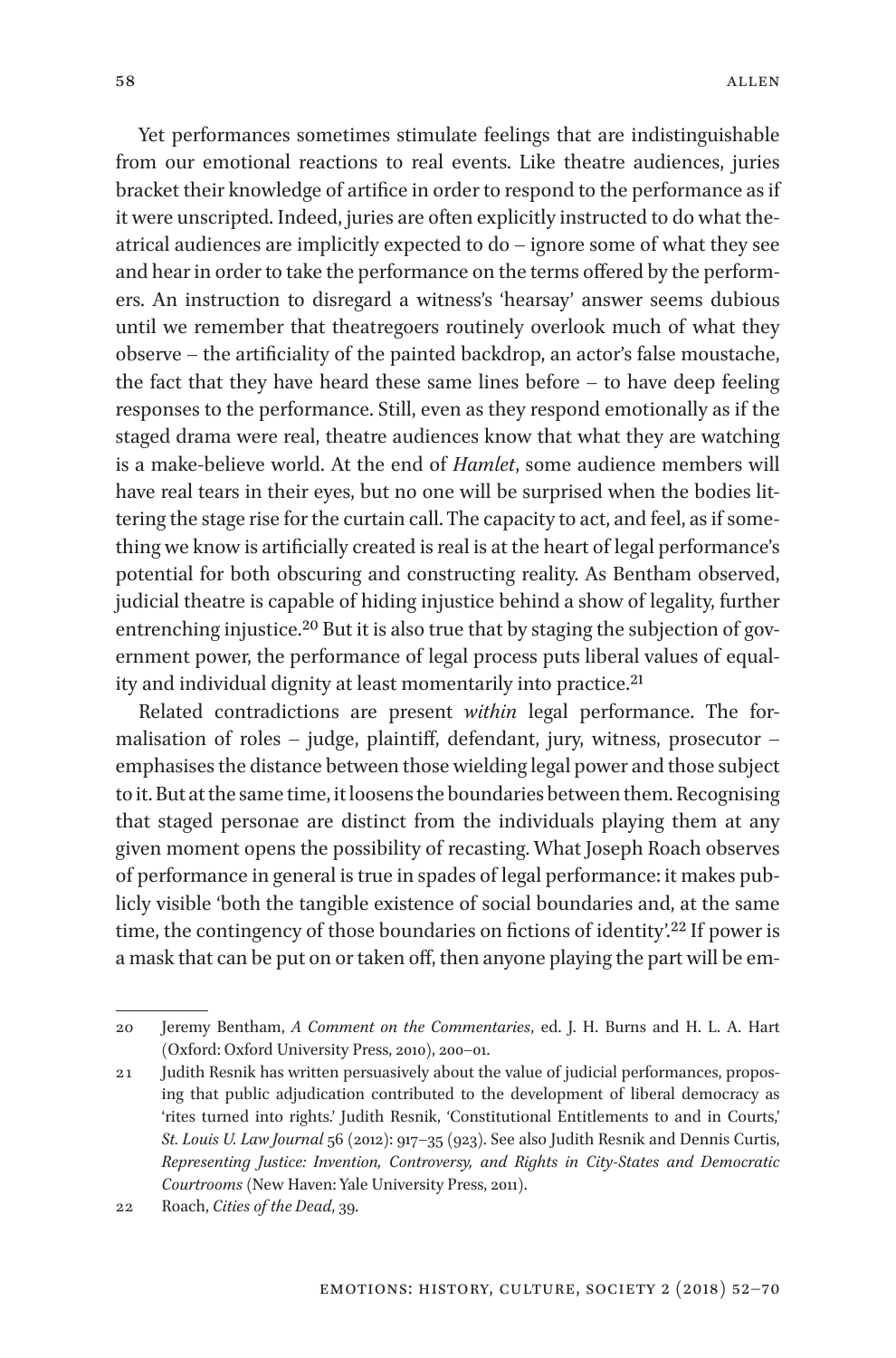Yet performances sometimes stimulate feelings that are indistinguishable from our emotional reactions to real events. Like theatre audiences, juries bracket their knowledge of artifice in order to respond to the performance as if it were unscripted. Indeed, juries are often explicitly instructed to do what theatrical audiences are implicitly expected to do – ignore some of what they see and hear in order to take the performance on the terms offered by the performers. An instruction to disregard a witness's 'hearsay' answer seems dubious until we remember that theatregoers routinely overlook much of what they observe – the artificiality of the painted backdrop, an actor's false moustache, the fact that they have heard these same lines before – to have deep feeling responses to the performance. Still, even as they respond emotionally as if the staged drama were real, theatre audiences know that what they are watching is a make-believe world. At the end of *Hamlet*, some audience members will have real tears in their eyes, but no one will be surprised when the bodies littering the stage rise for the curtain call. The capacity to act, and feel, as if something we know is artificially created is real is at the heart of legal performance's potential for both obscuring and constructing reality. As Bentham observed, judicial theatre is capable of hiding injustice behind a show of legality, further entrenching injustice.<sup>20</sup> But it is also true that by staging the subjection of government power, the performance of legal process puts liberal values of equality and individual dignity at least momentarily into practice.<sup>21</sup>

Related contradictions are present *within* legal performance. The formalisation of roles – judge, plaintiff, defendant, jury, witness, prosecutor – emphasises the distance between those wielding legal power and those subject to it. But at the same time, it loosens the boundaries between them. Recognising that staged personae are distinct from the individuals playing them at any given moment opens the possibility of recasting. What Joseph Roach observes of performance in general is true in spades of legal performance: it makes publicly visible 'both the tangible existence of social boundaries and, at the same time, the contingency of those boundaries on fictions of identity'.<sup>22</sup> If power is a mask that can be put on or taken off, then anyone playing the part will be em-

<sup>20</sup> Jeremy Bentham, *A Comment on the Commentaries*, ed. J. H. Burns and H. L. A. Hart (Oxford: Oxford University Press, 2010), 200–01.

<sup>21</sup> Judith Resnik has written persuasively about the value of judicial performances, proposing that public adjudication contributed to the development of liberal democracy as 'rites turned into rights.' Judith Resnik, 'Constitutional Entitlements to and in Courts,' *St. Louis U. Law Journal* 56 (2012): 917–35 (923). See also Judith Resnik and Dennis Curtis, *Representing Justice: Invention, Controversy, and Rights in City-States and Democratic Courtrooms* (New Haven: Yale University Press, 2011).

<sup>22</sup> Roach, *Cities of the Dead*, 39.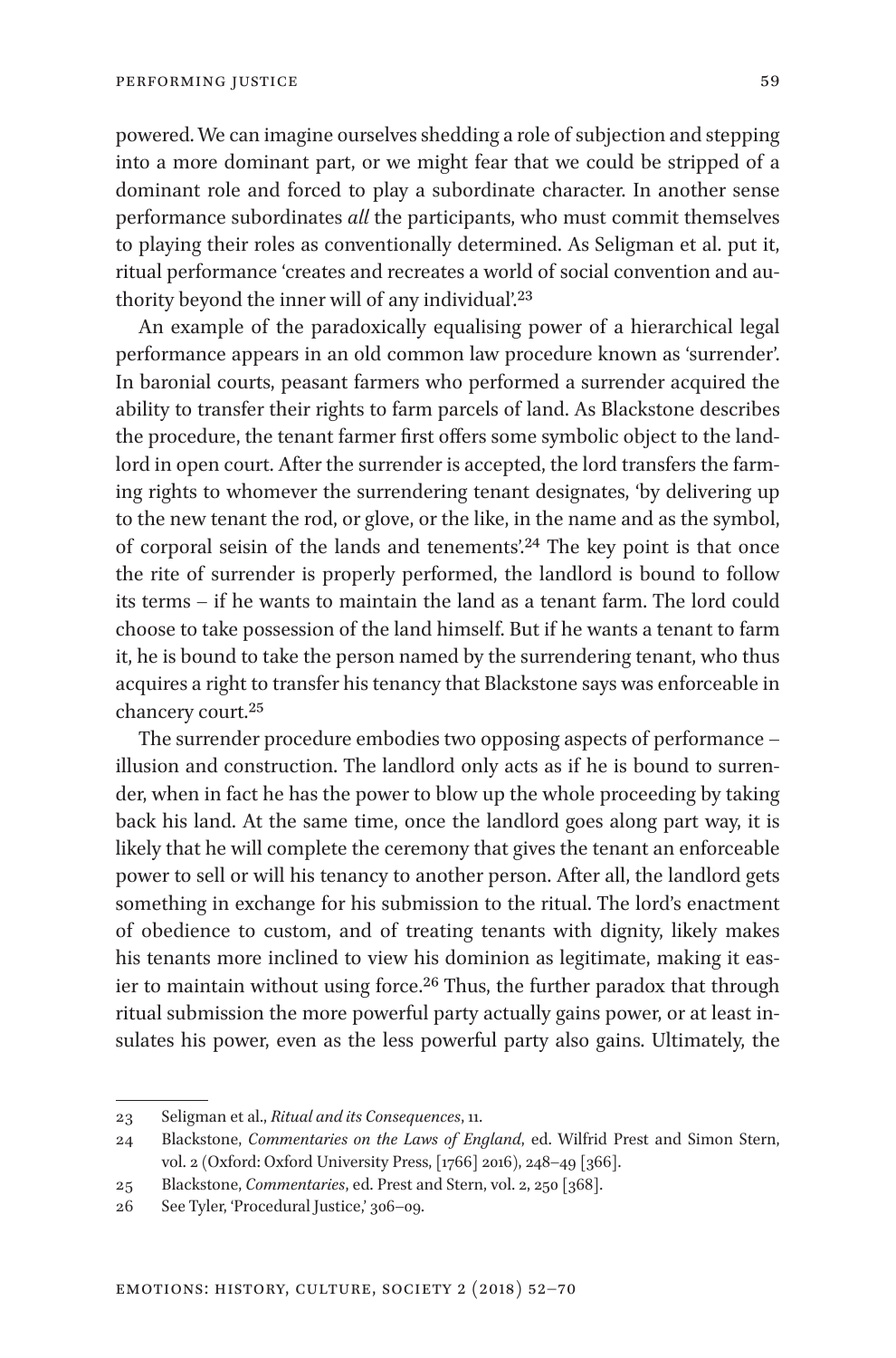powered. We can imagine ourselves shedding a role of subjection and stepping into a more dominant part, or we might fear that we could be stripped of a dominant role and forced to play a subordinate character. In another sense performance subordinates *all* the participants, who must commit themselves to playing their roles as conventionally determined. As Seligman et al. put it, ritual performance 'creates and recreates a world of social convention and authority beyond the inner will of any individual'.23

An example of the paradoxically equalising power of a hierarchical legal performance appears in an old common law procedure known as 'surrender'. In baronial courts, peasant farmers who performed a surrender acquired the ability to transfer their rights to farm parcels of land. As Blackstone describes the procedure, the tenant farmer first offers some symbolic object to the landlord in open court. After the surrender is accepted, the lord transfers the farming rights to whomever the surrendering tenant designates, 'by delivering up to the new tenant the rod, or glove, or the like, in the name and as the symbol, of corporal seisin of the lands and tenements'.24 The key point is that once the rite of surrender is properly performed, the landlord is bound to follow its terms – if he wants to maintain the land as a tenant farm. The lord could choose to take possession of the land himself. But if he wants a tenant to farm it, he is bound to take the person named by the surrendering tenant, who thus acquires a right to transfer his tenancy that Blackstone says was enforceable in chancery court.25

The surrender procedure embodies two opposing aspects of performance – illusion and construction. The landlord only acts as if he is bound to surrender, when in fact he has the power to blow up the whole proceeding by taking back his land. At the same time, once the landlord goes along part way, it is likely that he will complete the ceremony that gives the tenant an enforceable power to sell or will his tenancy to another person. After all, the landlord gets something in exchange for his submission to the ritual. The lord's enactment of obedience to custom, and of treating tenants with dignity, likely makes his tenants more inclined to view his dominion as legitimate, making it easier to maintain without using force.<sup>26</sup> Thus, the further paradox that through ritual submission the more powerful party actually gains power, or at least insulates his power, even as the less powerful party also gains. Ultimately, the

<sup>23</sup> Seligman et al., *Ritual and its Consequences*, 11.

<sup>24</sup> Blackstone, *Commentaries on the Laws of England*, ed. Wilfrid Prest and Simon Stern, vol. 2 (Oxford: Oxford University Press, [1766] 2016), 248–49 [366].

<sup>25</sup> Blackstone, *Commentaries*, ed. Prest and Stern, vol. 2, 250 [368].

<sup>26</sup> See Tyler, 'Procedural Justice,' 306–09.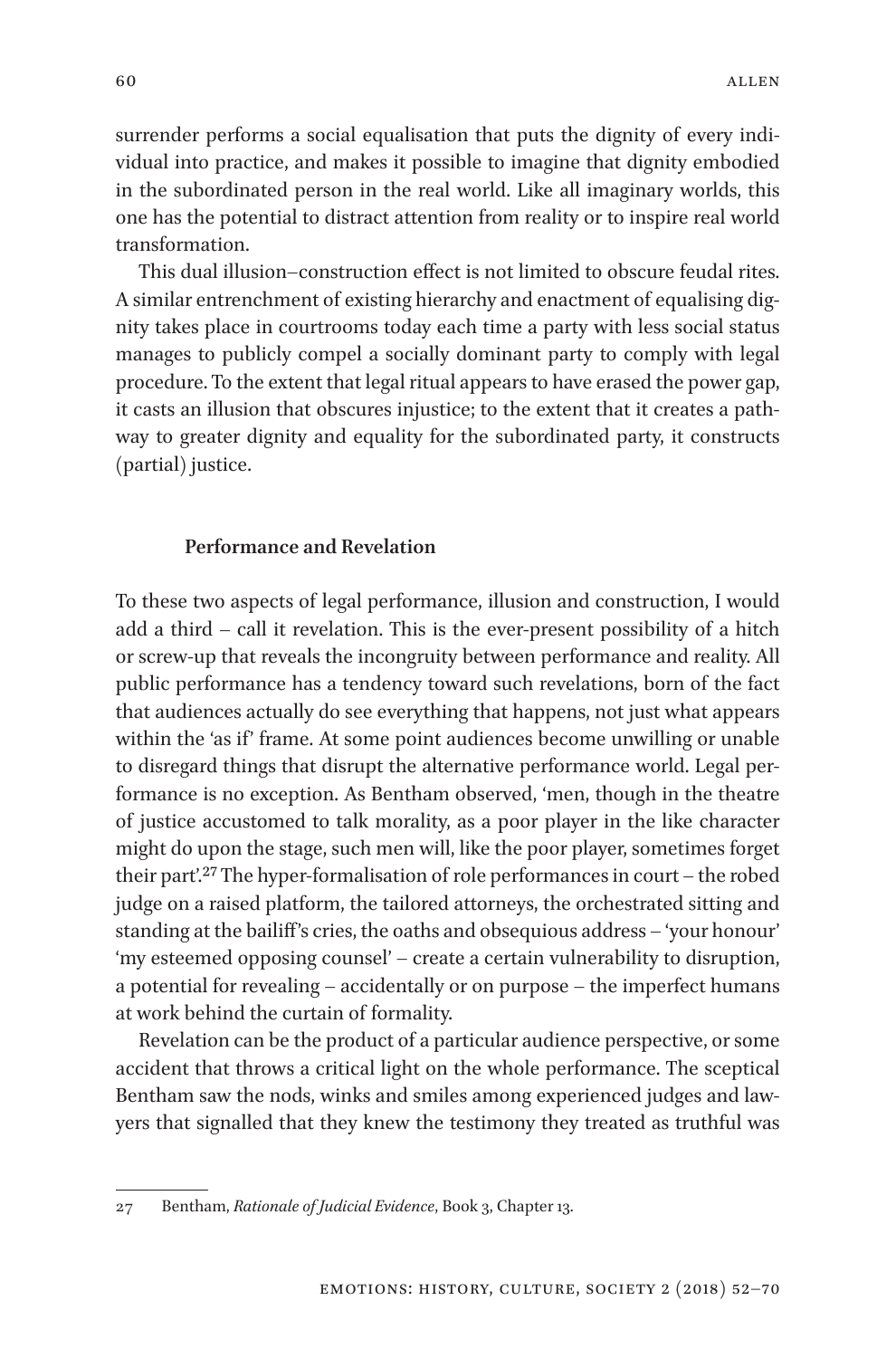surrender performs a social equalisation that puts the dignity of every individual into practice, and makes it possible to imagine that dignity embodied in the subordinated person in the real world. Like all imaginary worlds, this one has the potential to distract attention from reality or to inspire real world transformation.

This dual illusion–construction effect is not limited to obscure feudal rites. A similar entrenchment of existing hierarchy and enactment of equalising dignity takes place in courtrooms today each time a party with less social status manages to publicly compel a socially dominant party to comply with legal procedure. To the extent that legal ritual appears to have erased the power gap, it casts an illusion that obscures injustice; to the extent that it creates a pathway to greater dignity and equality for the subordinated party, it constructs (partial) justice.

### **Performance and Revelation**

To these two aspects of legal performance, illusion and construction, I would add a third – call it revelation. This is the ever-present possibility of a hitch or screw-up that reveals the incongruity between performance and reality. All public performance has a tendency toward such revelations, born of the fact that audiences actually do see everything that happens, not just what appears within the 'as if' frame. At some point audiences become unwilling or unable to disregard things that disrupt the alternative performance world. Legal performance is no exception. As Bentham observed, 'men, though in the theatre of justice accustomed to talk morality, as a poor player in the like character might do upon the stage, such men will, like the poor player, sometimes forget their part'.27 The hyper-formalisation of role performances in court – the robed judge on a raised platform, the tailored attorneys, the orchestrated sitting and standing at the bailiff's cries, the oaths and obsequious address – 'your honour' 'my esteemed opposing counsel' – create a certain vulnerability to disruption, a potential for revealing – accidentally or on purpose – the imperfect humans at work behind the curtain of formality.

Revelation can be the product of a particular audience perspective, or some accident that throws a critical light on the whole performance. The sceptical Bentham saw the nods, winks and smiles among experienced judges and lawyers that signalled that they knew the testimony they treated as truthful was

<sup>27</sup> Bentham, *Rationale of Judicial Evidence*, Book 3, Chapter 13.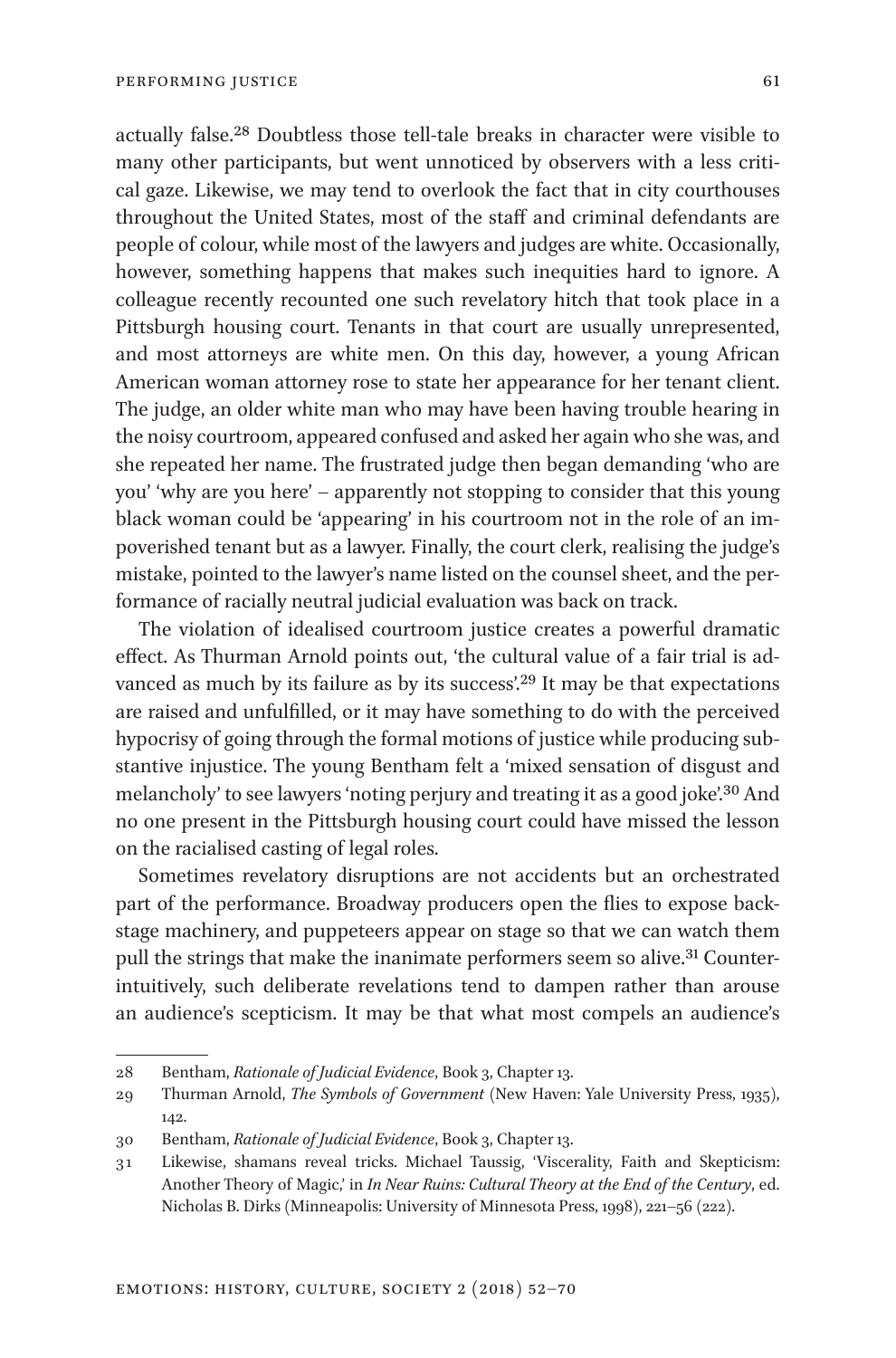actually false.28 Doubtless those tell-tale breaks in character were visible to many other participants, but went unnoticed by observers with a less critical gaze. Likewise, we may tend to overlook the fact that in city courthouses throughout the United States, most of the staff and criminal defendants are people of colour, while most of the lawyers and judges are white. Occasionally, however, something happens that makes such inequities hard to ignore. A colleague recently recounted one such revelatory hitch that took place in a Pittsburgh housing court. Tenants in that court are usually unrepresented, and most attorneys are white men. On this day, however, a young African American woman attorney rose to state her appearance for her tenant client. The judge, an older white man who may have been having trouble hearing in the noisy courtroom, appeared confused and asked her again who she was, and she repeated her name. The frustrated judge then began demanding 'who are you' 'why are you here' – apparently not stopping to consider that this young black woman could be 'appearing' in his courtroom not in the role of an impoverished tenant but as a lawyer. Finally, the court clerk, realising the judge's mistake, pointed to the lawyer's name listed on the counsel sheet, and the performance of racially neutral judicial evaluation was back on track.

The violation of idealised courtroom justice creates a powerful dramatic effect. As Thurman Arnold points out, 'the cultural value of a fair trial is advanced as much by its failure as by its success'.<sup>29</sup> It may be that expectations are raised and unfulfilled, or it may have something to do with the perceived hypocrisy of going through the formal motions of justice while producing substantive injustice. The young Bentham felt a 'mixed sensation of disgust and melancholy' to see lawyers 'noting perjury and treating it as a good joke'.30 And no one present in the Pittsburgh housing court could have missed the lesson on the racialised casting of legal roles.

Sometimes revelatory disruptions are not accidents but an orchestrated part of the performance. Broadway producers open the flies to expose backstage machinery, and puppeteers appear on stage so that we can watch them pull the strings that make the inanimate performers seem so alive.<sup>31</sup> Counterintuitively, such deliberate revelations tend to dampen rather than arouse an audience's scepticism. It may be that what most compels an audience's

<sup>28</sup> Bentham, *Rationale of Judicial Evidence*, Book 3, Chapter 13.

<sup>29</sup> Thurman Arnold, *The Symbols of Government* (New Haven: Yale University Press, 1935), 142.

<sup>30</sup> Bentham, *Rationale of Judicial Evidence*, Book 3, Chapter 13.

<sup>31</sup> Likewise, shamans reveal tricks. Michael Taussig, 'Viscerality, Faith and Skepticism: Another Theory of Magic,' in *In Near Ruins: Cultural Theory at the End of the Century*, ed. Nicholas B. Dirks (Minneapolis: University of Minnesota Press, 1998), 221–56 (222).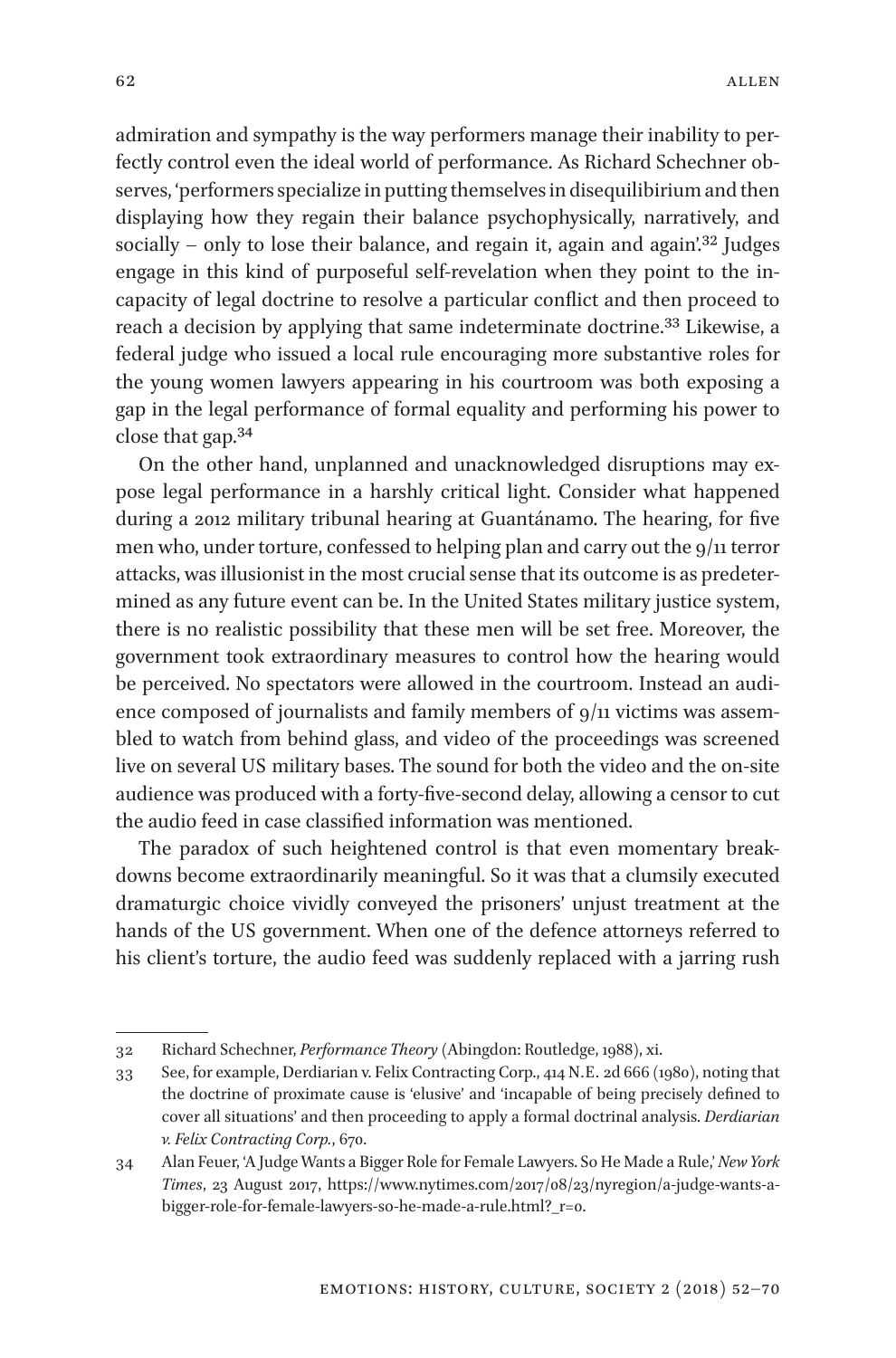admiration and sympathy is the way performers manage their inability to perfectly control even the ideal world of performance. As Richard Schechner observes, 'performers specialize in putting themselves in disequilibirium and then displaying how they regain their balance psychophysically, narratively, and socially – only to lose their balance, and regain it, again and again'.32 Judges engage in this kind of purposeful self-revelation when they point to the incapacity of legal doctrine to resolve a particular conflict and then proceed to reach a decision by applying that same indeterminate doctrine.33 Likewise, a federal judge who issued a local rule encouraging more substantive roles for the young women lawyers appearing in his courtroom was both exposing a gap in the legal performance of formal equality and performing his power to close that gap.34

On the other hand, unplanned and unacknowledged disruptions may expose legal performance in a harshly critical light. Consider what happened during a 2012 military tribunal hearing at Guantánamo. The hearing, for five men who, under torture, confessed to helping plan and carry out the 9/11 terror attacks, was illusionist in the most crucial sense that its outcome is as predetermined as any future event can be. In the United States military justice system, there is no realistic possibility that these men will be set free. Moreover, the government took extraordinary measures to control how the hearing would be perceived. No spectators were allowed in the courtroom. Instead an audience composed of journalists and family members of  $9/11$  victims was assembled to watch from behind glass, and video of the proceedings was screened live on several US military bases. The sound for both the video and the on-site audience was produced with a forty-five-second delay, allowing a censor to cut the audio feed in case classified information was mentioned.

The paradox of such heightened control is that even momentary breakdowns become extraordinarily meaningful. So it was that a clumsily executed dramaturgic choice vividly conveyed the prisoners' unjust treatment at the hands of the US government. When one of the defence attorneys referred to his client's torture, the audio feed was suddenly replaced with a jarring rush

<sup>32</sup> Richard Schechner, *Performance Theory* (Abingdon: Routledge, 1988), xi.

<sup>33</sup> See, for example, Derdiarian v. Felix Contracting Corp., 414 N.E. 2d 666 (1980), noting that the doctrine of proximate cause is 'elusive' and 'incapable of being precisely defined to cover all situations' and then proceeding to apply a formal doctrinal analysis. *Derdiarian v. Felix Contracting Corp.*, 670.

<sup>34</sup> Alan Feuer, 'A Judge Wants a Bigger Role for Female Lawyers. So He Made a Rule,' *New York Times*, 23 August 2017, https://www.nytimes.com/2017/08/23/nyregion/a-judge-wants-abigger-role-for-female-lawyers-so-he-made-a-rule.html?\_r=0.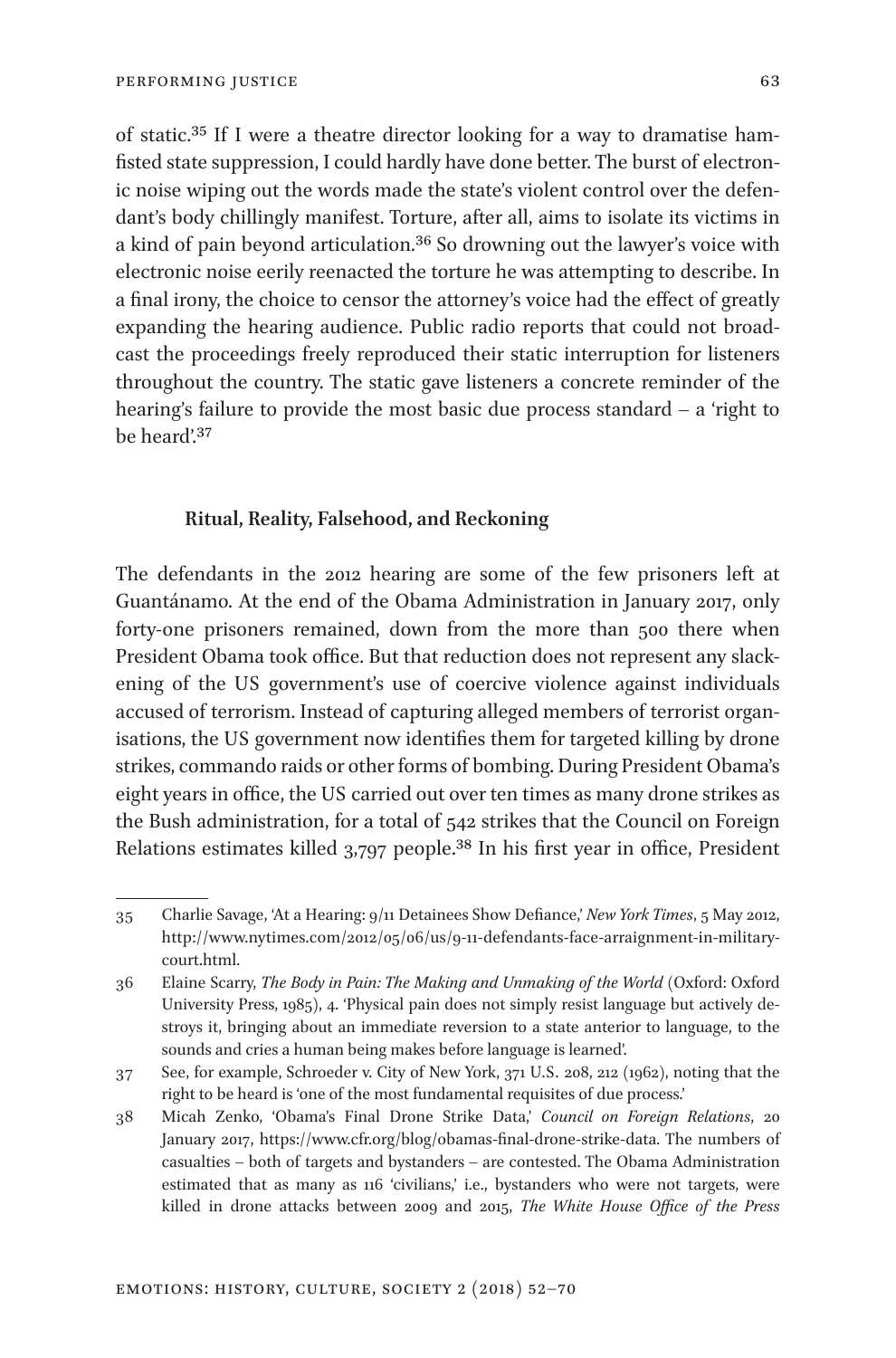of static.35 If I were a theatre director looking for a way to dramatise hamfisted state suppression, I could hardly have done better. The burst of electronic noise wiping out the words made the state's violent control over the defendant's body chillingly manifest. Torture, after all, aims to isolate its victims in a kind of pain beyond articulation.36 So drowning out the lawyer's voice with electronic noise eerily reenacted the torture he was attempting to describe. In a final irony, the choice to censor the attorney's voice had the effect of greatly expanding the hearing audience. Public radio reports that could not broadcast the proceedings freely reproduced their static interruption for listeners throughout the country. The static gave listeners a concrete reminder of the hearing's failure to provide the most basic due process standard – a 'right to be heard'37

## **Ritual, Reality, Falsehood, and Reckoning**

The defendants in the 2012 hearing are some of the few prisoners left at Guantánamo. At the end of the Obama Administration in January 2017, only forty-one prisoners remained, down from the more than 500 there when President Obama took office. But that reduction does not represent any slackening of the US government's use of coercive violence against individuals accused of terrorism. Instead of capturing alleged members of terrorist organisations, the US government now identifies them for targeted killing by drone strikes, commando raids or other forms of bombing. During President Obama's eight years in office, the US carried out over ten times as many drone strikes as the Bush administration, for a total of 542 strikes that the Council on Foreign Relations estimates killed 3,797 people.38 In his first year in office, President

<sup>35</sup> Charlie Savage, 'At a Hearing: 9/11 Detainees Show Defiance,' *New York Times*, 5 May 2012, http://www.nytimes.com/2012/05/06/us/9-11-defendants-face-arraignment-in-militarycourt.html.

<sup>36</sup> Elaine Scarry, *The Body in Pain: The Making and Unmaking of the World* (Oxford: Oxford University Press, 1985), 4. 'Physical pain does not simply resist language but actively destroys it, bringing about an immediate reversion to a state anterior to language, to the sounds and cries a human being makes before language is learned'.

<sup>37</sup> See, for example, Schroeder v. City of New York, 371 U.S. 208, 212 (1962), noting that the right to be heard is 'one of the most fundamental requisites of due process.'

<sup>38</sup> Micah Zenko, 'Obama's Final Drone Strike Data,' *Council on Foreign Relations*, 20 January 2017, https://www.cfr.org/blog/obamas-final-drone-strike-data. The numbers of casualties – both of targets and bystanders – are contested. The Obama Administration estimated that as many as 116 'civilians,' i.e., bystanders who were not targets, were killed in drone attacks between 2009 and 2015, *The White House Office of the Press*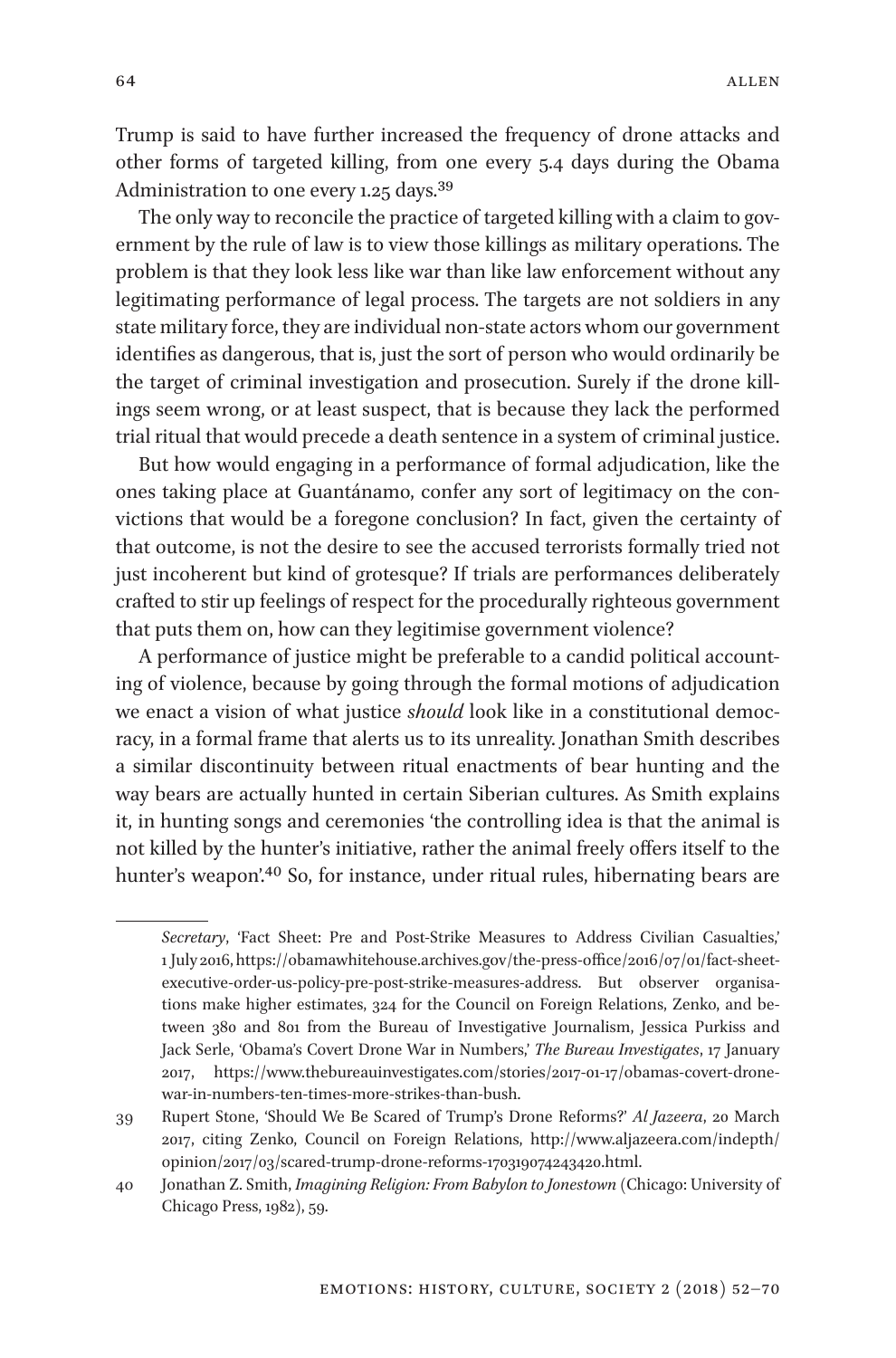Trump is said to have further increased the frequency of drone attacks and other forms of targeted killing, from one every 5.4 days during the Obama Administration to one every 1.25 days.39

The only way to reconcile the practice of targeted killing with a claim to government by the rule of law is to view those killings as military operations. The problem is that they look less like war than like law enforcement without any legitimating performance of legal process. The targets are not soldiers in any state military force, they are individual non-state actors whom our government identifies as dangerous, that is, just the sort of person who would ordinarily be the target of criminal investigation and prosecution. Surely if the drone killings seem wrong, or at least suspect, that is because they lack the performed trial ritual that would precede a death sentence in a system of criminal justice.

But how would engaging in a performance of formal adjudication, like the ones taking place at Guantánamo, confer any sort of legitimacy on the convictions that would be a foregone conclusion? In fact, given the certainty of that outcome, is not the desire to see the accused terrorists formally tried not just incoherent but kind of grotesque? If trials are performances deliberately crafted to stir up feelings of respect for the procedurally righteous government that puts them on, how can they legitimise government violence?

A performance of justice might be preferable to a candid political accounting of violence, because by going through the formal motions of adjudication we enact a vision of what justice *should* look like in a constitutional democracy, in a formal frame that alerts us to its unreality. Jonathan Smith describes a similar discontinuity between ritual enactments of bear hunting and the way bears are actually hunted in certain Siberian cultures. As Smith explains it, in hunting songs and ceremonies 'the controlling idea is that the animal is not killed by the hunter's initiative, rather the animal freely offers itself to the hunter's weapon'.<sup>40</sup> So, for instance, under ritual rules, hibernating bears are

*Secretary*, 'Fact Sheet: Pre and Post-Strike Measures to Address Civilian Casualties,' 1 July 2016, https://obamawhitehouse.archives.gov/the-press-office/2016/07/01/fact-sheetexecutive-order-us-policy-pre-post-strike-measures-address. But observer organisations make higher estimates, 324 for the Council on Foreign Relations, Zenko, and between 380 and 801 from the Bureau of Investigative Journalism, Jessica Purkiss and Jack Serle, 'Obama's Covert Drone War in Numbers,' *The Bureau Investigates*, 17 January 2017, https://www.thebureauinvestigates.com/stories/2017-01-17/obamas-covert-dronewar-in-numbers-ten-times-more-strikes-than-bush.

<sup>39</sup> Rupert Stone, 'Should We Be Scared of Trump's Drone Reforms?' *Al Jazeera*, 20 March 2017, citing Zenko, Council on Foreign Relations, http://www.aljazeera.com/indepth/ opinion/2017/03/scared-trump-drone-reforms-170319074243420.html.

<sup>40</sup> Jonathan Z. Smith, *Imagining Religion: From Babylon to Jonestown* (Chicago: University of Chicago Press, 1982), 59.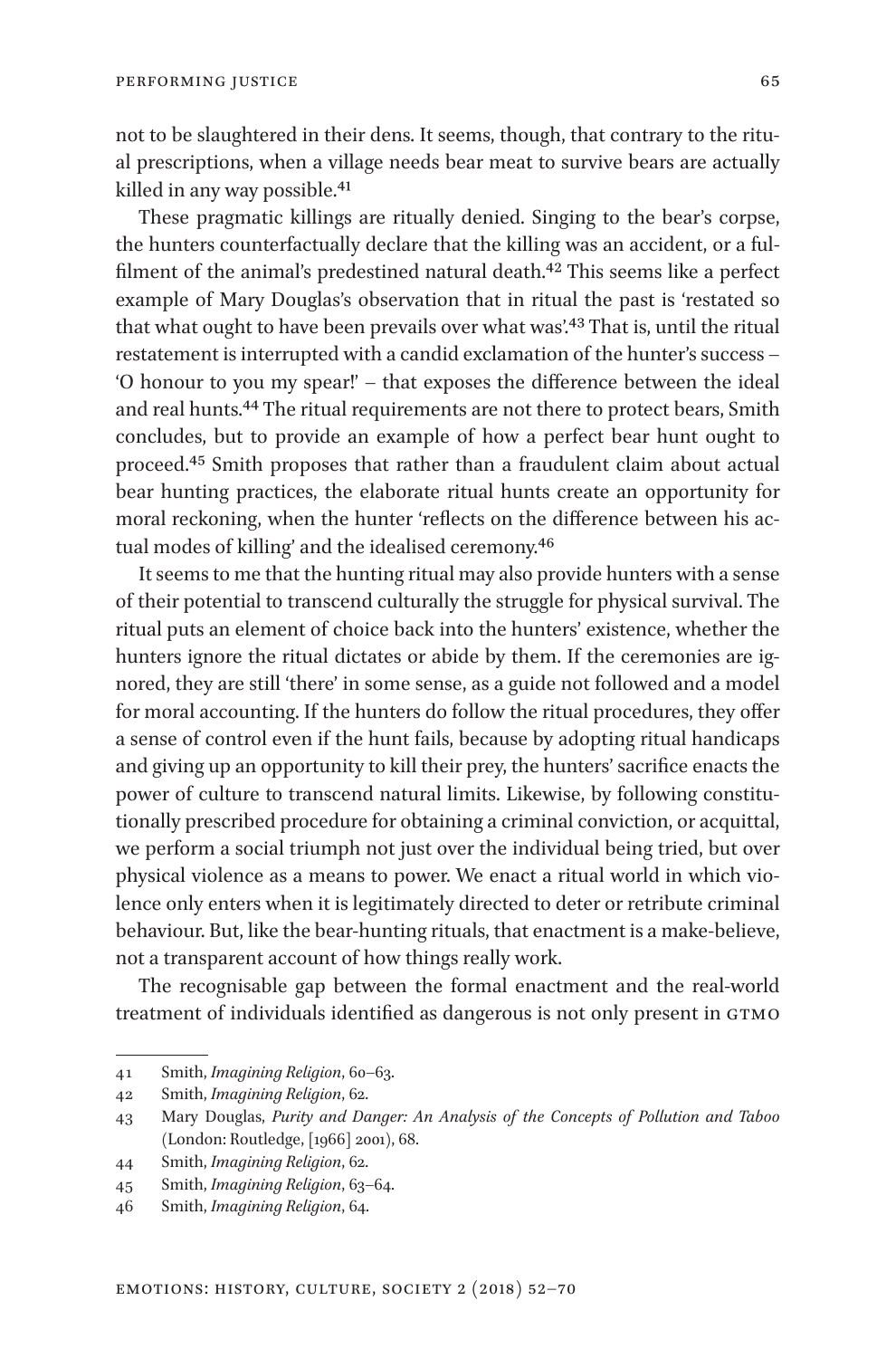not to be slaughtered in their dens. It seems, though, that contrary to the ritual prescriptions, when a village needs bear meat to survive bears are actually killed in any way possible.<sup>41</sup>

These pragmatic killings are ritually denied. Singing to the bear's corpse, the hunters counterfactually declare that the killing was an accident, or a fulfilment of the animal's predestined natural death.<sup>42</sup> This seems like a perfect example of Mary Douglas's observation that in ritual the past is 'restated so that what ought to have been prevails over what was'.<sup>43</sup> That is, until the ritual restatement is interrupted with a candid exclamation of the hunter's success – 'O honour to you my spear!' – that exposes the difference between the ideal and real hunts.44 The ritual requirements are not there to protect bears, Smith concludes, but to provide an example of how a perfect bear hunt ought to proceed.45 Smith proposes that rather than a fraudulent claim about actual bear hunting practices, the elaborate ritual hunts create an opportunity for moral reckoning, when the hunter 'reflects on the difference between his actual modes of killing' and the idealised ceremony.46

It seems to me that the hunting ritual may also provide hunters with a sense of their potential to transcend culturally the struggle for physical survival. The ritual puts an element of choice back into the hunters' existence, whether the hunters ignore the ritual dictates or abide by them. If the ceremonies are ignored, they are still 'there' in some sense, as a guide not followed and a model for moral accounting. If the hunters do follow the ritual procedures, they offer a sense of control even if the hunt fails, because by adopting ritual handicaps and giving up an opportunity to kill their prey, the hunters' sacrifice enacts the power of culture to transcend natural limits. Likewise, by following constitutionally prescribed procedure for obtaining a criminal conviction, or acquittal, we perform a social triumph not just over the individual being tried, but over physical violence as a means to power. We enact a ritual world in which violence only enters when it is legitimately directed to deter or retribute criminal behaviour. But, like the bear-hunting rituals, that enactment is a make-believe, not a transparent account of how things really work.

The recognisable gap between the formal enactment and the real-world treatment of individuals identified as dangerous is not only present in GTMO

<sup>41</sup> Smith, *Imagining Religion*, 60–63.

<sup>42</sup> Smith, *Imagining Religion*, 62.

<sup>43</sup> Mary Douglas, *Purity and Danger: An Analysis of the Concepts of Pollution and Taboo* (London: Routledge, [1966] 2001), 68.

<sup>44</sup> Smith, *Imagining Religion*, 62.

<sup>45</sup> Smith, *Imagining Religion*, 63–64.

<sup>46</sup> Smith, *Imagining Religion*, 64.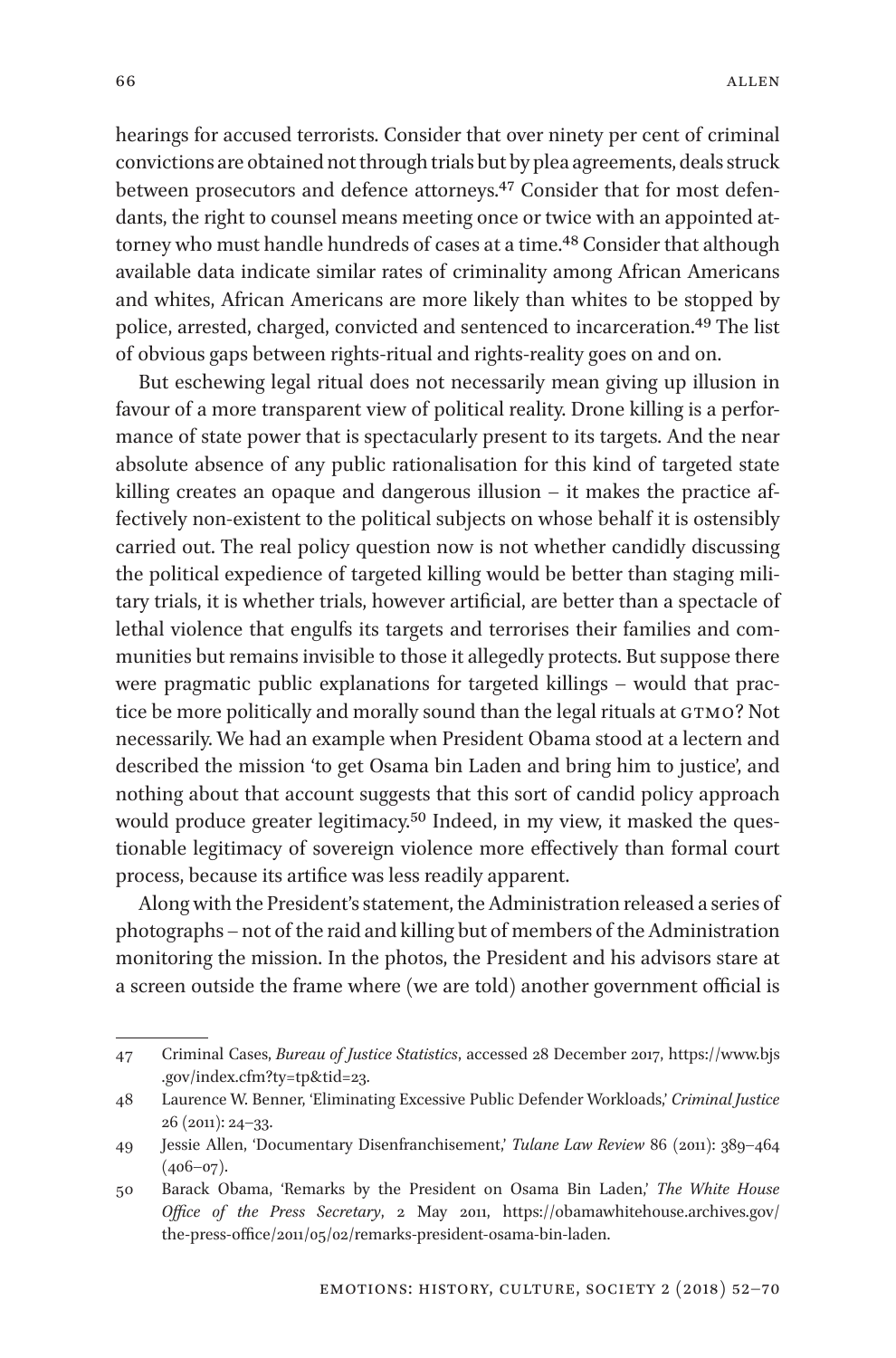hearings for accused terrorists. Consider that over ninety per cent of criminal convictions are obtained not through trials but by plea agreements, deals struck between prosecutors and defence attorneys.47 Consider that for most defendants, the right to counsel means meeting once or twice with an appointed attorney who must handle hundreds of cases at a time.<sup>48</sup> Consider that although available data indicate similar rates of criminality among African Americans and whites, African Americans are more likely than whites to be stopped by police, arrested, charged, convicted and sentenced to incarceration.49 The list of obvious gaps between rights-ritual and rights-reality goes on and on.

But eschewing legal ritual does not necessarily mean giving up illusion in favour of a more transparent view of political reality. Drone killing is a performance of state power that is spectacularly present to its targets. And the near absolute absence of any public rationalisation for this kind of targeted state killing creates an opaque and dangerous illusion – it makes the practice affectively non-existent to the political subjects on whose behalf it is ostensibly carried out. The real policy question now is not whether candidly discussing the political expedience of targeted killing would be better than staging military trials, it is whether trials, however artificial, are better than a spectacle of lethal violence that engulfs its targets and terrorises their families and communities but remains invisible to those it allegedly protects. But suppose there were pragmatic public explanations for targeted killings – would that practice be more politically and morally sound than the legal rituals at GTMO? Not necessarily. We had an example when President Obama stood at a lectern and described the mission 'to get Osama bin Laden and bring him to justice', and nothing about that account suggests that this sort of candid policy approach would produce greater legitimacy.<sup>50</sup> Indeed, in my view, it masked the questionable legitimacy of sovereign violence more effectively than formal court process, because its artifice was less readily apparent.

Along with the President's statement, the Administration released a series of photographs – not of the raid and killing but of members of the Administration monitoring the mission. In the photos, the President and his advisors stare at a screen outside the frame where (we are told) another government official is

<sup>47</sup> Criminal Cases, *Bureau of Justice Statistics*, accessed 28 December 2017, https://www.bjs .gov/index.cfm?ty=tp&tid=23.

<sup>48</sup> Laurence W. Benner, 'Eliminating Excessive Public Defender Workloads,' *Criminal Justice* 26 (2011): 24–33.

<sup>49</sup> Jessie Allen, 'Documentary Disenfranchisement,' *Tulane Law Review* 86 (2011): 389–464  $(406-07)$ .

<sup>50</sup> Barack Obama, 'Remarks by the President on Osama Bin Laden,' *The White House Office of the Press Secretary*, 2 May 2011, https://obamawhitehouse.archives.gov/ the-press-office/2011/05/02/remarks-president-osama-bin-laden.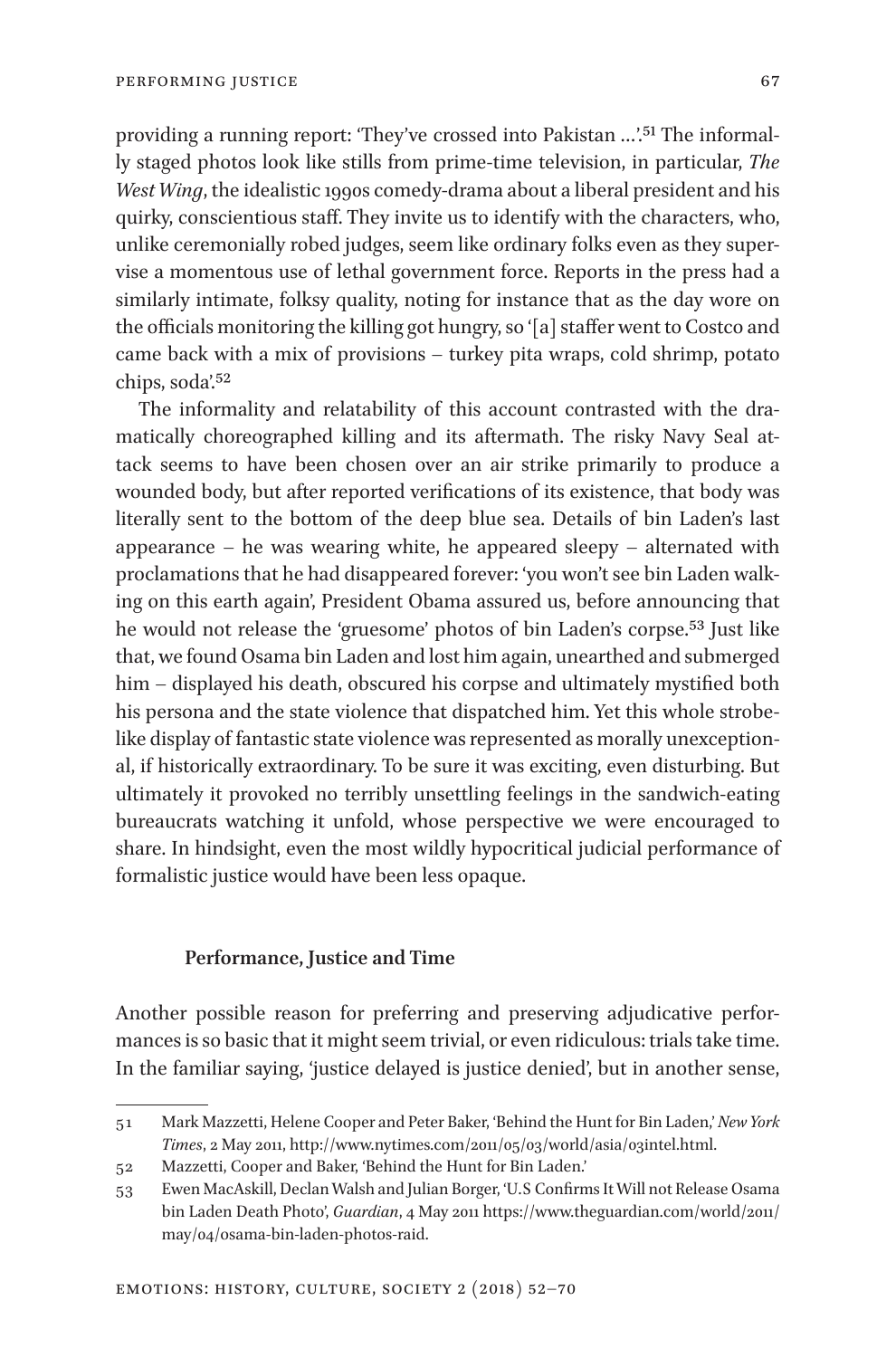providing a running report: 'They've crossed into Pakistan ...'<sup>51</sup> The informally staged photos look like stills from prime-time television, in particular, *The West Wing*, the idealistic 1990s comedy-drama about a liberal president and his quirky, conscientious staff. They invite us to identify with the characters, who, unlike ceremonially robed judges, seem like ordinary folks even as they supervise a momentous use of lethal government force. Reports in the press had a similarly intimate, folksy quality, noting for instance that as the day wore on the officials monitoring the killing got hungry, so '[a] staffer went to Costco and came back with a mix of provisions – turkey pita wraps, cold shrimp, potato chips, soda'.52

The informality and relatability of this account contrasted with the dramatically choreographed killing and its aftermath. The risky Navy Seal attack seems to have been chosen over an air strike primarily to produce a wounded body, but after reported verifications of its existence, that body was literally sent to the bottom of the deep blue sea. Details of bin Laden's last appearance – he was wearing white, he appeared sleepy – alternated with proclamations that he had disappeared forever: 'you won't see bin Laden walking on this earth again', President Obama assured us, before announcing that he would not release the 'gruesome' photos of bin Laden's corpse.53 Just like that, we found Osama bin Laden and lost him again, unearthed and submerged him – displayed his death, obscured his corpse and ultimately mystified both his persona and the state violence that dispatched him. Yet this whole strobelike display of fantastic state violence was represented as morally unexceptional, if historically extraordinary. To be sure it was exciting, even disturbing. But ultimately it provoked no terribly unsettling feelings in the sandwich-eating bureaucrats watching it unfold, whose perspective we were encouraged to share. In hindsight, even the most wildly hypocritical judicial performance of formalistic justice would have been less opaque.

#### **Performance, Justice and Time**

Another possible reason for preferring and preserving adjudicative performances is so basic that it might seem trivial, or even ridiculous: trials take time. In the familiar saying, 'justice delayed is justice denied', but in another sense,

<sup>51</sup> Mark Mazzetti, Helene Cooper and Peter Baker, 'Behind the Hunt for Bin Laden,' *New York Times*, 2 May 2011, http://www.nytimes.com/2011/05/03/world/asia/03intel.html.

<sup>52</sup> Mazzetti, Cooper and Baker, 'Behind the Hunt for Bin Laden.'

<sup>53</sup> Ewen MacAskill, Declan Walsh and Julian Borger, 'U.S Confirms It Will not Release Osama bin Laden Death Photo', *Guardian*, 4 May 2011 https://www.theguardian.com/world/2011/ may/04/osama-bin-laden-photos-raid.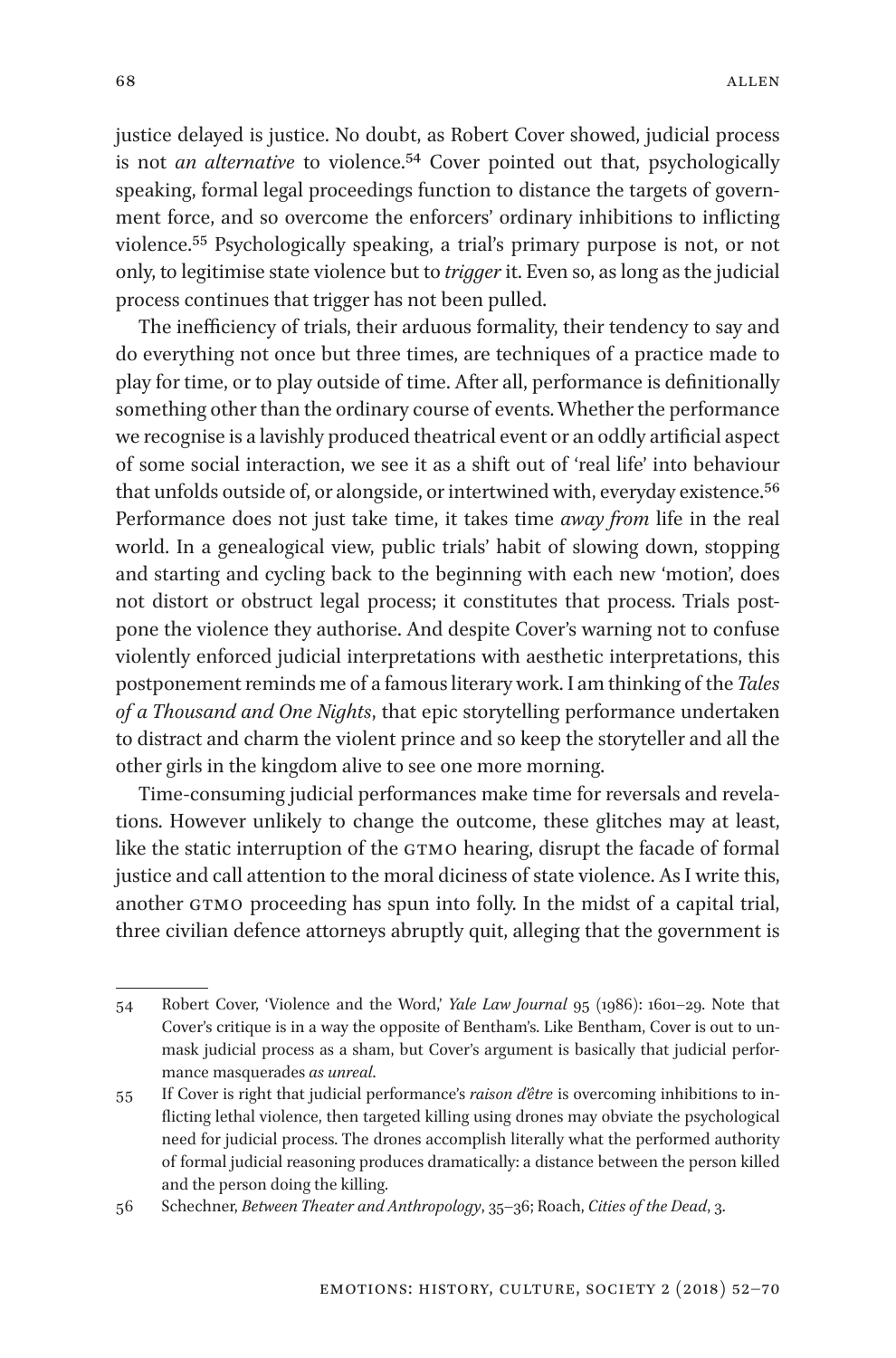justice delayed is justice. No doubt, as Robert Cover showed, judicial process is not *an alternative* to violence.54 Cover pointed out that, psychologically speaking, formal legal proceedings function to distance the targets of government force, and so overcome the enforcers' ordinary inhibitions to inflicting violence.55 Psychologically speaking, a trial's primary purpose is not, or not only, to legitimise state violence but to *trigger* it. Even so, as long as the judicial process continues that trigger has not been pulled.

The inefficiency of trials, their arduous formality, their tendency to say and do everything not once but three times, are techniques of a practice made to play for time, or to play outside of time. After all, performance is definitionally something other than the ordinary course of events. Whether the performance we recognise is a lavishly produced theatrical event or an oddly artificial aspect of some social interaction, we see it as a shift out of 'real life' into behaviour that unfolds outside of, or alongside, or intertwined with, everyday existence.<sup>56</sup> Performance does not just take time, it takes time *away from* life in the real world. In a genealogical view, public trials' habit of slowing down, stopping and starting and cycling back to the beginning with each new 'motion', does not distort or obstruct legal process; it constitutes that process. Trials postpone the violence they authorise. And despite Cover's warning not to confuse violently enforced judicial interpretations with aesthetic interpretations, this postponement reminds me of a famous literary work. I am thinking of the *Tales of a Thousand and One Nights*, that epic storytelling performance undertaken to distract and charm the violent prince and so keep the storyteller and all the other girls in the kingdom alive to see one more morning.

Time-consuming judicial performances make time for reversals and revelations. However unlikely to change the outcome, these glitches may at least, like the static interruption of the GTMO hearing, disrupt the facade of formal justice and call attention to the moral diciness of state violence. As I write this, another GTMO proceeding has spun into folly. In the midst of a capital trial, three civilian defence attorneys abruptly quit, alleging that the government is

<sup>54</sup> Robert Cover, 'Violence and the Word,' *Yale Law Journal* 95 (1986): 1601–29. Note that Cover's critique is in a way the opposite of Bentham's. Like Bentham, Cover is out to unmask judicial process as a sham, but Cover's argument is basically that judicial performance masquerades *as unreal*.

<sup>55</sup> If Cover is right that judicial performance's *raison d'être* is overcoming inhibitions to inflicting lethal violence, then targeted killing using drones may obviate the psychological need for judicial process. The drones accomplish literally what the performed authority of formal judicial reasoning produces dramatically: a distance between the person killed and the person doing the killing.

<sup>56</sup> Schechner, *Between Theater and Anthropology*, 35–36; Roach, *Cities of the Dead*, 3.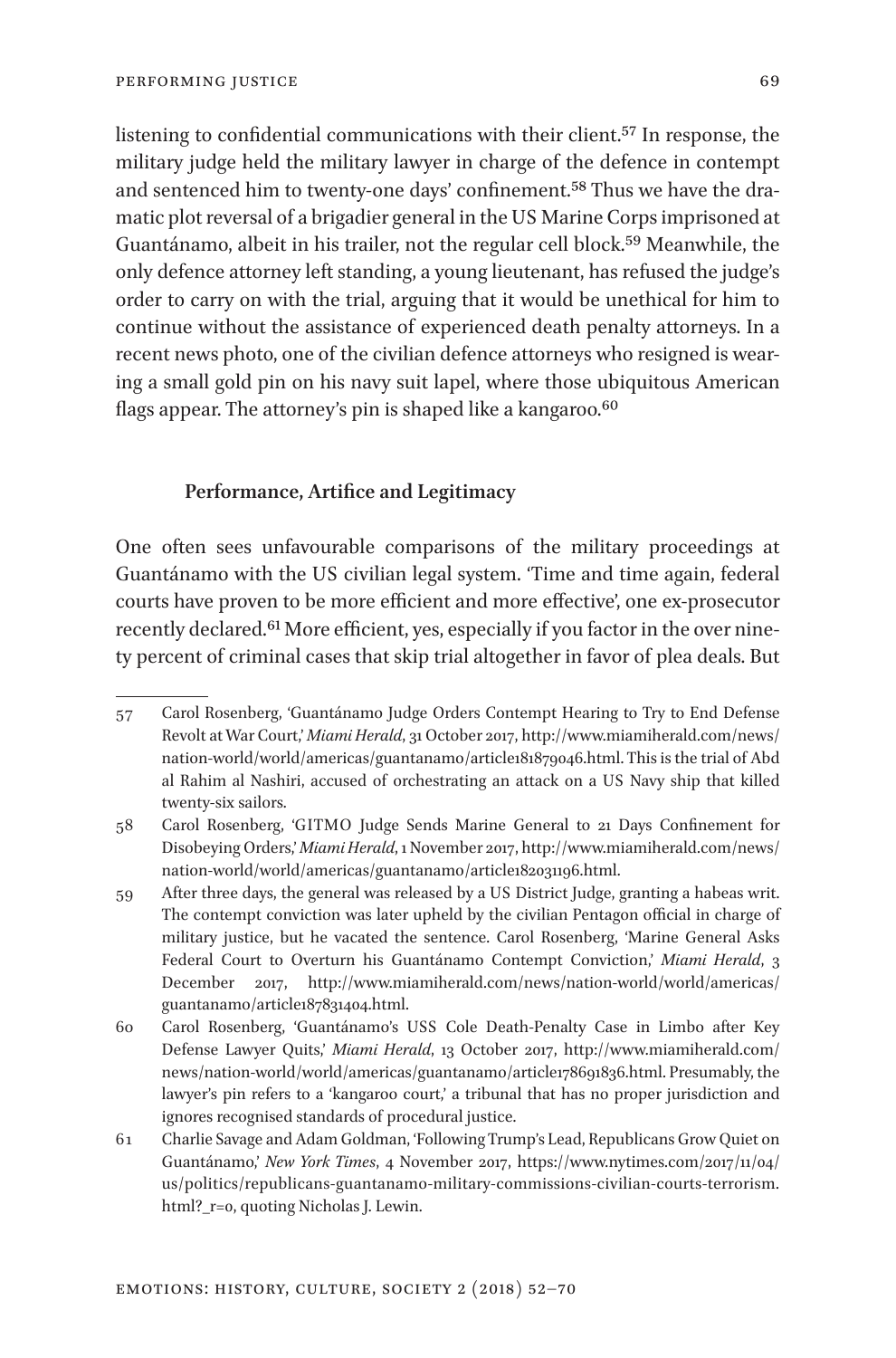listening to confidential communications with their client.57 In response, the military judge held the military lawyer in charge of the defence in contempt and sentenced him to twenty-one days' confinement.<sup>58</sup> Thus we have the dramatic plot reversal of a brigadier general in the US Marine Corps imprisoned at Guantánamo, albeit in his trailer, not the regular cell block.59 Meanwhile, the only defence attorney left standing, a young lieutenant, has refused the judge's order to carry on with the trial, arguing that it would be unethical for him to continue without the assistance of experienced death penalty attorneys. In a recent news photo, one of the civilian defence attorneys who resigned is wearing a small gold pin on his navy suit lapel, where those ubiquitous American flags appear. The attorney's pin is shaped like a kangaroo.<sup>60</sup>

### **Performance, Artifice and Legitimacy**

One often sees unfavourable comparisons of the military proceedings at Guantánamo with the US civilian legal system. 'Time and time again, federal courts have proven to be more efficient and more effective', one ex-prosecutor recently declared.61 More efficient, yes, especially if you factor in the over ninety percent of criminal cases that skip trial altogether in favor of plea deals. But

<sup>57</sup> Carol Rosenberg, 'Guantánamo Judge Orders Contempt Hearing to Try to End Defense Revolt at War Court,' *Miami Herald*, 31 October 2017, http://www.miamiherald.com/news/ nation-world/world/americas/guantanamo/article181879046.html. This is the trial of Abd al Rahim al Nashiri, accused of orchestrating an attack on a US Navy ship that killed twenty-six sailors.

<sup>58</sup> Carol Rosenberg, 'GITMO Judge Sends Marine General to 21 Days Confinement for Disobeying Orders,' *Miami Herald*, 1 November 2017, http://www.miamiherald.com/news/ nation-world/world/americas/guantanamo/article182031196.html.

<sup>59</sup> After three days, the general was released by a US District Judge, granting a habeas writ. The contempt conviction was later upheld by the civilian Pentagon official in charge of military justice, but he vacated the sentence. Carol Rosenberg, 'Marine General Asks Federal Court to Overturn his Guantánamo Contempt Conviction,' *Miami Herald*, 3 December 2017, http://www.miamiherald.com/news/nation-world/world/americas/ guantanamo/article187831404.html.

<sup>60</sup> Carol Rosenberg, 'Guantánamo's USS Cole Death-Penalty Case in Limbo after Key Defense Lawyer Quits,' *Miami Herald*, 13 October 2017, http://www.miamiherald.com/ news/nation-world/world/americas/guantanamo/article178691836.html. Presumably, the lawyer's pin refers to a 'kangaroo court,' a tribunal that has no proper jurisdiction and ignores recognised standards of procedural justice.

<sup>61</sup> Charlie Savage and Adam Goldman, 'Following Trump's Lead, Republicans Grow Quiet on Guantánamo,' *New York Times*, 4 November 2017, https://www.nytimes.com/2017/11/04/ us/politics/republicans-guantanamo-military-commissions-civilian-courts-terrorism. html?\_r=0, quoting Nicholas J. Lewin.